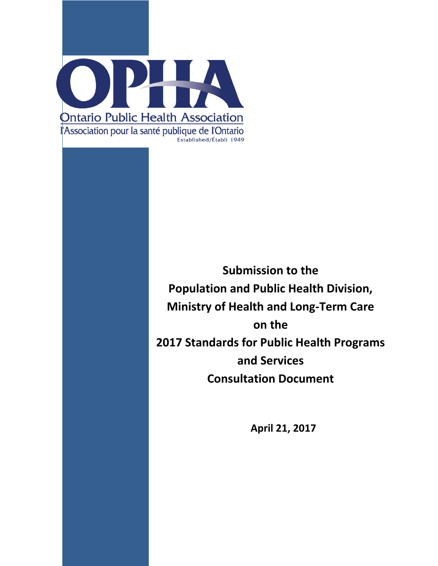

**Submission to the Population and Public Health Division, Ministry of Health and Long-Term Care on the 2017 Standards for Public Health Programs and Services Consultation Document**

**April 21, 2017**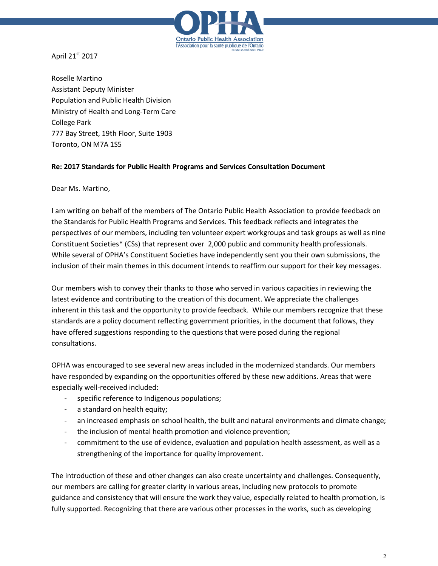

April 21st 2017

Roselle Martino Assistant Deputy Minister Population and Public Health Division Ministry of Health and Long-Term Care College Park 777 Bay Street, 19th Floor, Suite 1903 Toronto, ON M7A 1S5

### **Re: 2017 Standards for Public Health Programs and Services Consultation Document**

Dear Ms. Martino,

I am writing on behalf of the members of The Ontario Public Health Association to provide feedback on the Standards for Public Health Programs and Services. This feedback reflects and integrates the perspectives of our members, including ten volunteer expert workgroups and task groups as well as nine Constituent Societies\* (CSs) that represent over 2,000 public and community health professionals. While several of OPHA's Constituent Societies have independently sent you their own submissions, the inclusion of their main themes in this document intends to reaffirm our support for their key messages.

Our members wish to convey their thanks to those who served in various capacities in reviewing the latest evidence and contributing to the creation of this document. We appreciate the challenges inherent in this task and the opportunity to provide feedback. While our members recognize that these standards are a policy document reflecting government priorities, in the document that follows, they have offered suggestions responding to the questions that were posed during the regional consultations.

OPHA was encouraged to see several new areas included in the modernized standards. Our members have responded by expanding on the opportunities offered by these new additions. Areas that were especially well-received included:

- specific reference to Indigenous populations;
- a standard on health equity;
- an increased emphasis on school health, the built and natural environments and climate change;
- the inclusion of mental health promotion and violence prevention;
- commitment to the use of evidence, evaluation and population health assessment, as well as a strengthening of the importance for quality improvement.

The introduction of these and other changes can also create uncertainty and challenges. Consequently, our members are calling for greater clarity in various areas, including new protocols to promote guidance and consistency that will ensure the work they value, especially related to health promotion, is fully supported. Recognizing that there are various other processes in the works, such as developing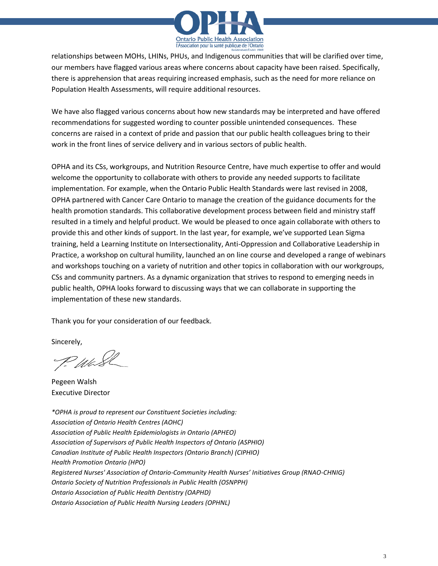

relationships between MOHs, LHINs, PHUs, and Indigenous communities that will be clarified over time, our members have flagged various areas where concerns about capacity have been raised. Specifically, there is apprehension that areas requiring increased emphasis, such as the need for more reliance on Population Health Assessments, will require additional resources.

We have also flagged various concerns about how new standards may be interpreted and have offered recommendations for suggested wording to counter possible unintended consequences. These concerns are raised in a context of pride and passion that our public health colleagues bring to their work in the front lines of service delivery and in various sectors of public health.

OPHA and its CSs, workgroups, and Nutrition Resource Centre, have much expertise to offer and would welcome the opportunity to collaborate with others to provide any needed supports to facilitate implementation. For example, when the Ontario Public Health Standards were last revised in 2008, OPHA partnered with Cancer Care Ontario to manage the creation of the guidance documents for the health promotion standards. This collaborative development process between field and ministry staff resulted in a timely and helpful product. We would be pleased to once again collaborate with others to provide this and other kinds of support. In the last year, for example, we've supported Lean Sigma training, held a Learning Institute on Intersectionality, Anti-Oppression and Collaborative Leadership in Practice, a workshop on cultural humility, launched an on line course and developed a range of webinars and workshops touching on a variety of nutrition and other topics in collaboration with our workgroups, CSs and community partners. As a dynamic organization that strives to respond to emerging needs in public health, OPHA looks forward to discussing ways that we can collaborate in supporting the implementation of these new standards.

Thank you for your consideration of our feedback.

Sincerely,

WeSl

Pegeen Walsh Executive Director

*\*OPHA is proud to represent our Constituent Societies including: Association of Ontario Health Centres (AOHC) Association of Public Health Epidemiologists in Ontario (APHEO) Association of Supervisors of Public Health Inspectors of Ontario (ASPHIO) Canadian Institute of Public Health Inspectors (Ontario Branch) (CIPHIO) Health Promotion Ontario (HPO) Registered Nurses' Association of Ontario-Community Health Nurses' Initiatives Group (RNAO-CHNIG) Ontario Society of Nutrition Professionals in Public Health (OSNPPH) Ontario Association of Public Health Dentistry (OAPHD) Ontario Association of Public Health Nursing Leaders (OPHNL)*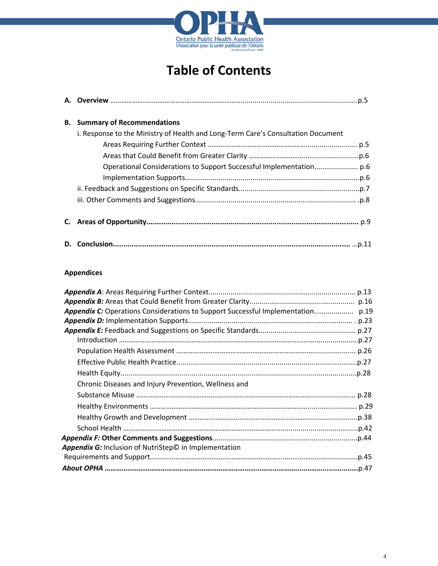

# **Table of Contents**

| <b>B.</b> Summary of Recommendations                                             |
|----------------------------------------------------------------------------------|
| i. Response to the Ministry of Health and Long-Term Care's Consultation Document |
|                                                                                  |
|                                                                                  |
|                                                                                  |
|                                                                                  |
|                                                                                  |
|                                                                                  |
|                                                                                  |
|                                                                                  |
| <b>Appendices</b>                                                                |
|                                                                                  |
|                                                                                  |

| Chronic Diseases and Injury Prevention, Wellness and  |  |
|-------------------------------------------------------|--|
|                                                       |  |
|                                                       |  |
|                                                       |  |
|                                                       |  |
|                                                       |  |
| Appendix G: Inclusion of NutriStep© in Implementation |  |
|                                                       |  |
|                                                       |  |
|                                                       |  |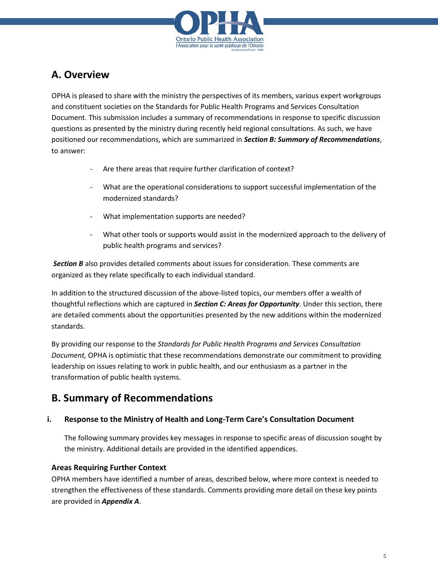

## **A. Overview**

OPHA is pleased to share with the ministry the perspectives of its members, various expert workgroups and constituent societies on the Standards for Public Health Programs and Services Consultation Document. This submission includes a summary of recommendations in response to specific discussion questions as presented by the ministry during recently held regional consultations. As such, we have positioned our recommendations, which are summarized in *Section B: Summary of Recommendations*, to answer:

- Are there areas that require further clarification of context?
- What are the operational considerations to support successful implementation of the modernized standards?
- What implementation supports are needed?
- What other tools or supports would assist in the modernized approach to the delivery of public health programs and services?

**Section B** also provides detailed comments about issues for consideration. These comments are organized as they relate specifically to each individual standard.

In addition to the structured discussion of the above-listed topics, our members offer a wealth of thoughtful reflections which are captured in *Section C: Areas for Opportunity*. Under this section, there are detailed comments about the opportunities presented by the new additions within the modernized standards.

By providing our response to the *Standards for Public Health Programs and Services Consultation Document,* OPHA is optimistic that these recommendations demonstrate our commitment to providing leadership on issues relating to work in public health, and our enthusiasm as a partner in the transformation of public health systems.

## **B. Summary of Recommendations**

## **i. Response to the Ministry of Health and Long-Term Care's Consultation Document**

The following summary provides key messages in response to specific areas of discussion sought by the ministry. Additional details are provided in the identified appendices.

## **Areas Requiring Further Context**

OPHA members have identified a number of areas, described below, where more context is needed to strengthen the effectiveness of these standards. Comments providing more detail on these key points are provided in *Appendix A*.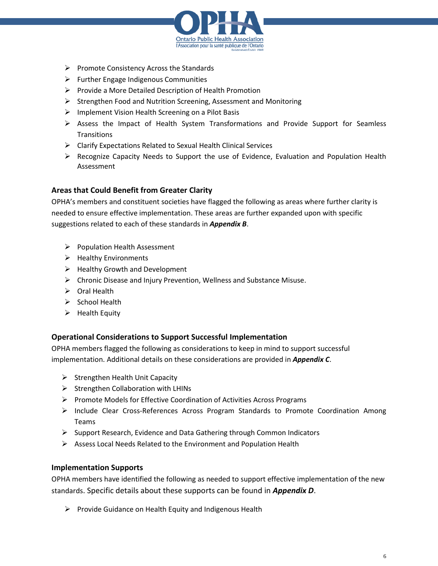

- $\triangleright$  Promote Consistency Across the Standards
- $\triangleright$  Further Engage Indigenous Communities
- $\triangleright$  Provide a More Detailed Description of Health Promotion
- $\triangleright$  Strengthen Food and Nutrition Screening, Assessment and Monitoring
- $\triangleright$  Implement Vision Health Screening on a Pilot Basis
- $\triangleright$  Assess the Impact of Health System Transformations and Provide Support for Seamless **Transitions**
- $\triangleright$  Clarify Expectations Related to Sexual Health Clinical Services
- $\triangleright$  Recognize Capacity Needs to Support the use of Evidence, Evaluation and Population Health Assessment

## **Areas that Could Benefit from Greater Clarity**

OPHA's members and constituent societies have flagged the following as areas where further clarity is needed to ensure effective implementation. These areas are further expanded upon with specific suggestions related to each of these standards in *Appendix B*.

- $\triangleright$  Population Health Assessment
- $\triangleright$  Healthy Environments
- $\triangleright$  Healthy Growth and Development
- Chronic Disease and Injury Prevention, Wellness and Substance Misuse.
- Oral Health
- $\triangleright$  School Health
- $\triangleright$  Health Equity

#### **Operational Considerations to Support Successful Implementation**

OPHA members flagged the following as considerations to keep in mind to support successful implementation. Additional details on these considerations are provided in *Appendix C*.

- $\triangleright$  Strengthen Health Unit Capacity
- $\triangleright$  Strengthen Collaboration with LHINs
- Promote Models for Effective Coordination of Activities Across Programs
- $\triangleright$  Include Clear Cross-References Across Program Standards to Promote Coordination Among Teams
- $\triangleright$  Support Research, Evidence and Data Gathering through Common Indicators
- Assess Local Needs Related to the Environment and Population Health

#### **Implementation Supports**

OPHA members have identified the following as needed to support effective implementation of the new standards. Specific details about these supports can be found in *Appendix D*.

 $\triangleright$  Provide Guidance on Health Equity and Indigenous Health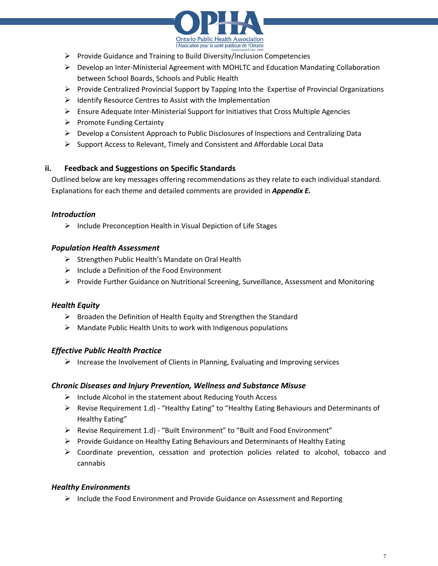

- $\triangleright$  Provide Guidance and Training to Build Diversity/Inclusion Competencies
- Develop an Inter-Ministerial Agreement with MOHLTC and Education Mandating Collaboration between School Boards, Schools and Public Health
- $\triangleright$  Provide Centralized Provincial Support by Tapping Into the Expertise of Provincial Organizations
- $\triangleright$  Identify Resource Centres to Assist with the Implementation
- $\triangleright$  Ensure Adequate Inter-Ministerial Support for Initiatives that Cross Multiple Agencies
- $\triangleright$  Promote Funding Certainty
- $\triangleright$  Develop a Consistent Approach to Public Disclosures of Inspections and Centralizing Data
- $\triangleright$  Support Access to Relevant, Timely and Consistent and Affordable Local Data

## **ii. Feedback and Suggestions on Specific Standards**

Outlined below are key messages offering recommendations as they relate to each individual standard. Explanations for each theme and detailed comments are provided in *Appendix E.*

## *Introduction*

 $\triangleright$  Include Preconception Health in Visual Depiction of Life Stages

## *Population Health Assessment*

- $\triangleright$  Strengthen Public Health's Mandate on Oral Health
- $\triangleright$  Include a Definition of the Food Environment
- Provide Further Guidance on Nutritional Screening, Surveillance, Assessment and Monitoring

## *Health Equity*

- $\triangleright$  Broaden the Definition of Health Equity and Strengthen the Standard
- $\triangleright$  Mandate Public Health Units to work with Indigenous populations

## *Effective Public Health Practice*

Increase the Involvement of Clients in Planning, Evaluating and Improving services

## *Chronic Diseases and Injury Prevention, Wellness and Substance Misuse*

- $\triangleright$  Include Alcohol in the statement about Reducing Youth Access
- Revise Requirement 1.d) "Healthy Eating" to "Healthy Eating Behaviours and Determinants of Healthy Eating"
- Revise Requirement 1.d) "Built Environment" to "Built and Food Environment"
- $\triangleright$  Provide Guidance on Healthy Eating Behaviours and Determinants of Healthy Eating
- $\triangleright$  Coordinate prevention, cessation and protection policies related to alcohol, tobacco and cannabis

## *Healthy Environments*

 $\triangleright$  Include the Food Environment and Provide Guidance on Assessment and Reporting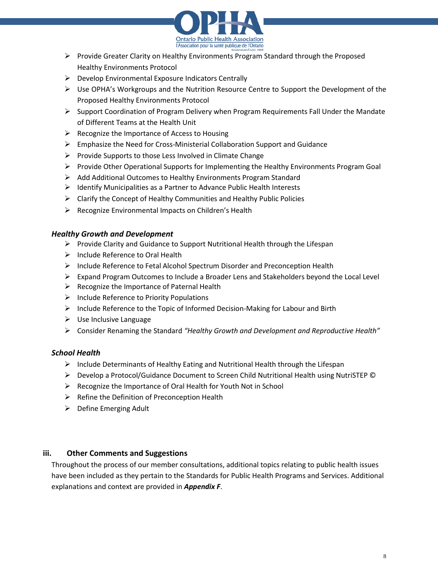

- $\triangleright$  Provide Greater Clarity on Healthy Environments Program Standard through the Proposed Healthy Environments Protocol
- $\triangleright$  Develop Environmental Exposure Indicators Centrally
- $\triangleright$  Use OPHA's Workgroups and the Nutrition Resource Centre to Support the Development of the Proposed Healthy Environments Protocol
- $\triangleright$  Support Coordination of Program Delivery when Program Requirements Fall Under the Mandate of Different Teams at the Health Unit
- $\triangleright$  Recognize the Importance of Access to Housing
- Emphasize the Need for Cross-Ministerial Collaboration Support and Guidance
- $\triangleright$  Provide Supports to those Less Involved in Climate Change
- Provide Other Operational Supports for Implementing the Healthy Environments Program Goal
- $\triangleright$  Add Additional Outcomes to Healthy Environments Program Standard
- $\triangleright$  Identify Municipalities as a Partner to Advance Public Health Interests
- $\triangleright$  Clarify the Concept of Healthy Communities and Healthy Public Policies
- ▶ Recognize Environmental Impacts on Children's Health

## *Healthy Growth and Development*

- $\triangleright$  Provide Clarity and Guidance to Support Nutritional Health through the Lifespan
- $\triangleright$  Include Reference to Oral Health
- > Include Reference to Fetal Alcohol Spectrum Disorder and Preconception Health
- $\triangleright$  Expand Program Outcomes to Include a Broader Lens and Stakeholders beyond the Local Level
- $\triangleright$  Recognize the Importance of Paternal Health
- $\triangleright$  Include Reference to Priority Populations
- $\triangleright$  Include Reference to the Topic of Informed Decision-Making for Labour and Birth
- $\triangleright$  Use Inclusive Language
- Consider Renaming the Standard *"Healthy Growth and Development and Reproductive Health"*

## *School Health*

- $\triangleright$  Include Determinants of Healthy Eating and Nutritional Health through the Lifespan
- Develop a Protocol/Guidance Document to Screen Child Nutritional Health using NutriSTEP ©
- $\triangleright$  Recognize the Importance of Oral Health for Youth Not in School
- $\triangleright$  Refine the Definition of Preconception Health
- $\triangleright$  Define Emerging Adult

## **iii. Other Comments and Suggestions**

Throughout the process of our member consultations, additional topics relating to public health issues have been included as they pertain to the Standards for Public Health Programs and Services. Additional explanations and context are provided in *Appendix F*.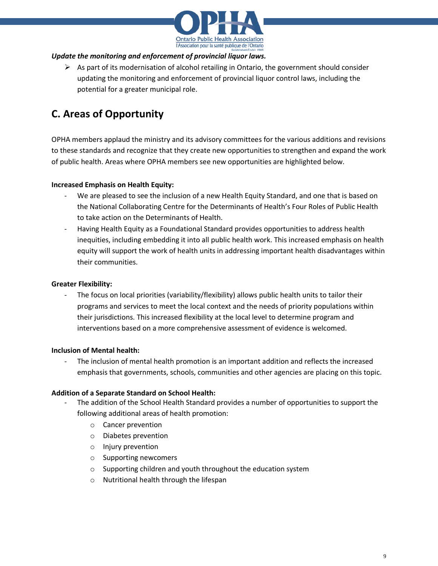

## *Update the monitoring and enforcement of provincial liquor laws.*

 $\triangleright$  As part of its modernisation of alcohol retailing in Ontario, the government should consider updating the monitoring and enforcement of provincial liquor control laws, including the potential for a greater municipal role.

## **C. Areas of Opportunity**

OPHA members applaud the ministry and its advisory committees for the various additions and revisions to these standards and recognize that they create new opportunities to strengthen and expand the work of public health. Areas where OPHA members see new opportunities are highlighted below.

## **Increased Emphasis on Health Equity:**

- We are pleased to see the inclusion of a new Health Equity Standard, and one that is based on the National Collaborating Centre for the Determinants of Health's Four Roles of Public Health to take action on the Determinants of Health.
- Having Health Equity as a Foundational Standard provides opportunities to address health inequities, including embedding it into all public health work. This increased emphasis on health equity will support the work of health units in addressing important health disadvantages within their communities.

## **Greater Flexibility:**

The focus on local priorities (variability/flexibility) allows public health units to tailor their programs and services to meet the local context and the needs of priority populations within their jurisdictions. This increased flexibility at the local level to determine program and interventions based on a more comprehensive assessment of evidence is welcomed.

## **Inclusion of Mental health:**

The inclusion of mental health promotion is an important addition and reflects the increased emphasis that governments, schools, communities and other agencies are placing on this topic.

## **Addition of a Separate Standard on School Health:**

- The addition of the School Health Standard provides a number of opportunities to support the following additional areas of health promotion:
	- o Cancer prevention
	- o Diabetes prevention
	- o Injury prevention
	- o Supporting newcomers
	- o Supporting children and youth throughout the education system
	- o Nutritional health through the lifespan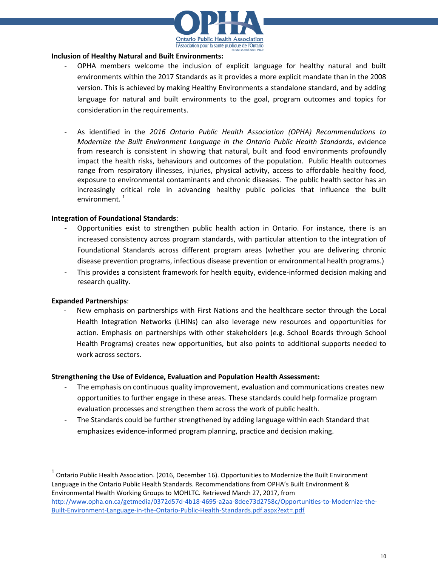

#### **Inclusion of Healthy Natural and Built Environments:**

- OPHA members welcome the inclusion of explicit language for healthy natural and built environments within the 2017 Standards as it provides a more explicit mandate than in the 2008 version. This is achieved by making Healthy Environments a standalone standard, and by adding language for natural and built environments to the goal, program outcomes and topics for consideration in the requirements.
- As identified in the *2016 Ontario Public Health Association (OPHA) Recommendations to Modernize the Built Environment Language in the Ontario Public Health Standards*, evidence from research is consistent in showing that natural, built and food environments profoundly impact the health risks, behaviours and outcomes of the population. Public Health outcomes range from respiratory illnesses, injuries, physical activity, access to affordable healthy food, exposure to environmental contaminants and chronic diseases. The public health sector has an increasingly critical role in advancing healthy public policies that influence the built environment. $1$

#### **Integration of Foundational Standards**:

- Opportunities exist to strengthen public health action in Ontario. For instance, there is an increased consistency across program standards, with particular attention to the integration of Foundational Standards across different program areas (whether you are delivering chronic disease prevention programs, infectious disease prevention or environmental health programs.)
- This provides a consistent framework for health equity, evidence-informed decision making and research quality.

#### **Expanded Partnerships**:

 $\overline{a}$ 

New emphasis on partnerships with First Nations and the healthcare sector through the Local Health Integration Networks (LHINs) can also leverage new resources and opportunities for action. Emphasis on partnerships with other stakeholders (e.g. School Boards through School Health Programs) creates new opportunities, but also points to additional supports needed to work across sectors.

#### **Strengthening the Use of Evidence, Evaluation and Population Health Assessment:**

- The emphasis on continuous quality improvement, evaluation and communications creates new opportunities to further engage in these areas. These standards could help formalize program evaluation processes and strengthen them across the work of public health.
- The Standards could be further strengthened by adding language within each Standard that emphasizes evidence-informed program planning, practice and decision making.

 $^1$  Ontario Public Health Association. (2016, December 16). Opportunities to Modernize the Built Environment Language in the Ontario Public Health Standards. Recommendations from OPHA's Built Environment & Environmental Health Working Groups to MOHLTC. Retrieved March 27, 2017, from [http://www.opha.on.ca/getmedia/0372d57d-4b18-4695-a2aa-8dee73d2758c/Opportunities-to-Modernize-the-](http://www.opha.on.ca/getmedia/0372d57d-4b18-4695-a2aa-8dee73d2758c/Opportunities-to-Modernize-the-Built-Environment-Language-in-the-Ontario-Public-Health-Standards.pdf.aspx?ext=.pdf)[Built-Environment-Language-in-the-Ontario-Public-Health-Standards.pdf.aspx?ext=.pdf](http://www.opha.on.ca/getmedia/0372d57d-4b18-4695-a2aa-8dee73d2758c/Opportunities-to-Modernize-the-Built-Environment-Language-in-the-Ontario-Public-Health-Standards.pdf.aspx?ext=.pdf)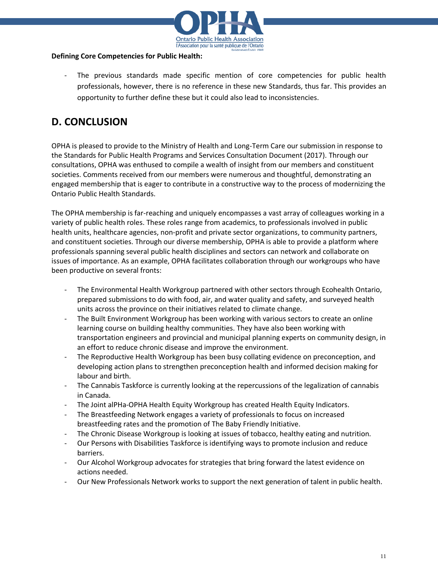

### **Defining Core Competencies for Public Health:**

The previous standards made specific mention of core competencies for public health professionals, however, there is no reference in these new Standards, thus far. This provides an opportunity to further define these but it could also lead to inconsistencies.

## **D. CONCLUSION**

OPHA is pleased to provide to the Ministry of Health and Long-Term Care our submission in response to the Standards for Public Health Programs and Services Consultation Document (2017). Through our consultations, OPHA was enthused to compile a wealth of insight from our members and constituent societies. Comments received from our members were numerous and thoughtful, demonstrating an engaged membership that is eager to contribute in a constructive way to the process of modernizing the Ontario Public Health Standards.

The OPHA membership is far-reaching and uniquely encompasses a vast array of colleagues working in a variety of public health roles. These roles range from academics, to professionals involved in public health units, healthcare agencies, non-profit and private sector organizations, to community partners, and constituent societies. Through our diverse membership, OPHA is able to provide a platform where professionals spanning several public health disciplines and sectors can network and collaborate on issues of importance. As an example, OPHA facilitates collaboration through our workgroups who have been productive on several fronts:

- The Environmental Health Workgroup partnered with other sectors through Ecohealth Ontario, prepared submissions to do with food, air, and water quality and safety, and surveyed health units across the province on their initiatives related to climate change.
- The Built Environment Workgroup has been working with various sectors to create an online learning course on building healthy communities. They have also been working with transportation engineers and provincial and municipal planning experts on community design, in an effort to reduce chronic disease and improve the environment.
- The Reproductive Health Workgroup has been busy collating evidence on preconception, and developing action plans to strengthen preconception health and informed decision making for labour and birth.
- The Cannabis Taskforce is currently looking at the repercussions of the legalization of cannabis in Canada.
- The Joint alPHa-OPHA Health Equity Workgroup has created Health Equity Indicators.
- The Breastfeeding Network engages a variety of professionals to focus on increased breastfeeding rates and the promotion of The Baby Friendly Initiative.
- The Chronic Disease Workgroup is looking at issues of tobacco, healthy eating and nutrition.
- Our Persons with Disabilities Taskforce is identifying ways to promote inclusion and reduce barriers.
- Our Alcohol Workgroup advocates for strategies that bring forward the latest evidence on actions needed.
- Our New Professionals Network works to support the next generation of talent in public health.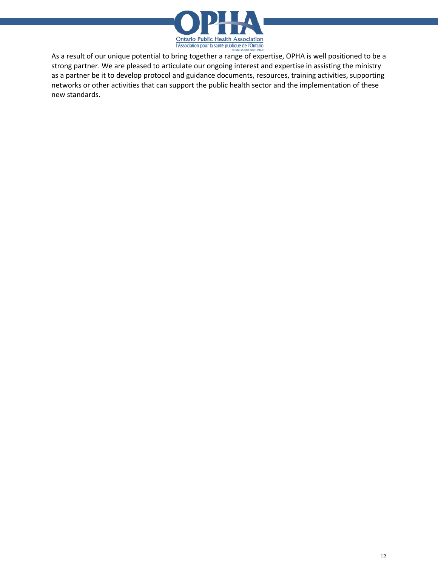

As a result of our unique potential to bring together a range of expertise, OPHA is well positioned to be a strong partner. We are pleased to articulate our ongoing interest and expertise in assisting the ministry as a partner be it to develop protocol and guidance documents, resources, training activities, supporting networks or other activities that can support the public health sector and the implementation of these new standards.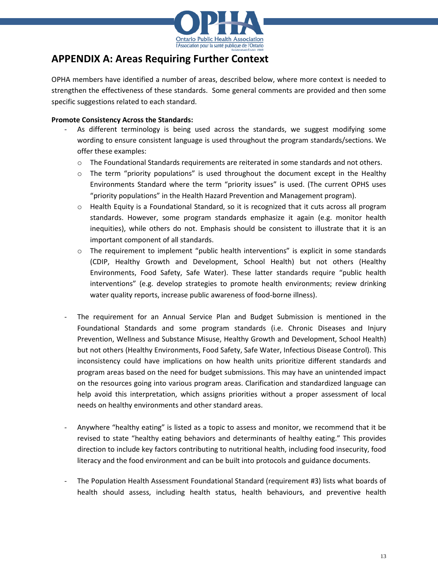

## **APPENDIX A: Areas Requiring Further Context**

OPHA members have identified a number of areas, described below, where more context is needed to strengthen the effectiveness of these standards. Some general comments are provided and then some specific suggestions related to each standard.

### **Promote Consistency Across the Standards:**

- As different terminology is being used across the standards, we suggest modifying some wording to ensure consistent language is used throughout the program standards/sections. We offer these examples:
	- $\circ$  The Foundational Standards requirements are reiterated in some standards and not others.
	- $\circ$  The term "priority populations" is used throughout the document except in the Healthy Environments Standard where the term "priority issues" is used. (The current OPHS uses "priority populations" in the Health Hazard Prevention and Management program).
	- o Health Equity is a Foundational Standard, so it is recognized that it cuts across all program standards. However, some program standards emphasize it again (e.g. monitor health inequities), while others do not. Emphasis should be consistent to illustrate that it is an important component of all standards.
	- o The requirement to implement "public health interventions" is explicit in some standards (CDIP, Healthy Growth and Development, School Health) but not others (Healthy Environments, Food Safety, Safe Water). These latter standards require "public health interventions" (e.g. develop strategies to promote health environments; review drinking water quality reports, increase public awareness of food-borne illness).
- The requirement for an Annual Service Plan and Budget Submission is mentioned in the Foundational Standards and some program standards (i.e. Chronic Diseases and Injury Prevention, Wellness and Substance Misuse, Healthy Growth and Development, School Health) but not others (Healthy Environments, Food Safety, Safe Water, Infectious Disease Control). This inconsistency could have implications on how health units prioritize different standards and program areas based on the need for budget submissions. This may have an unintended impact on the resources going into various program areas. Clarification and standardized language can help avoid this interpretation, which assigns priorities without a proper assessment of local needs on healthy environments and other standard areas.
- Anywhere "healthy eating" is listed as a topic to assess and monitor, we recommend that it be revised to state "healthy eating behaviors and determinants of healthy eating." This provides direction to include key factors contributing to nutritional health, including food insecurity, food literacy and the food environment and can be built into protocols and guidance documents.
- The Population Health Assessment Foundational Standard (requirement #3) lists what boards of health should assess, including health status, health behaviours, and preventive health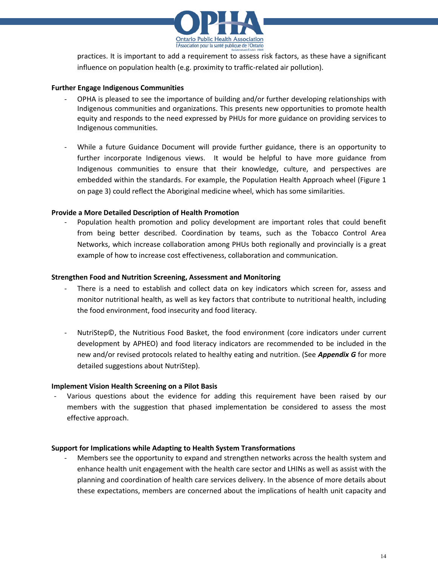

practices. It is important to add a requirement to assess risk factors, as these have a significant influence on population health (e.g. proximity to traffic-related air pollution).

#### **Further Engage Indigenous Communities**

- OPHA is pleased to see the importance of building and/or further developing relationships with Indigenous communities and organizations. This presents new opportunities to promote health equity and responds to the need expressed by PHUs for more guidance on providing services to Indigenous communities.
- While a future Guidance Document will provide further guidance, there is an opportunity to further incorporate Indigenous views. It would be helpful to have more guidance from Indigenous communities to ensure that their knowledge, culture, and perspectives are embedded within the standards. For example, the Population Health Approach wheel (Figure 1 on page 3) could reflect the Aboriginal medicine wheel, which has some similarities.

#### **Provide a More Detailed Description of Health Promotion**

Population health promotion and policy development are important roles that could benefit from being better described. Coordination by teams, such as the Tobacco Control Area Networks, which increase collaboration among PHUs both regionally and provincially is a great example of how to increase cost effectiveness, collaboration and communication.

#### **Strengthen Food and Nutrition Screening, Assessment and Monitoring**

- There is a need to establish and collect data on key indicators which screen for, assess and monitor nutritional health, as well as key factors that contribute to nutritional health, including the food environment, food insecurity and food literacy.
- NutriStep©, the Nutritious Food Basket, the food environment (core indicators under current development by APHEO) and food literacy indicators are recommended to be included in the new and/or revised protocols related to healthy eating and nutrition. (See *Appendix G* for more detailed suggestions about NutriStep).

#### **Implement Vision Health Screening on a Pilot Basis**

Various questions about the evidence for adding this requirement have been raised by our members with the suggestion that phased implementation be considered to assess the most effective approach.

#### **Support for Implications while Adapting to Health System Transformations**

Members see the opportunity to expand and strengthen networks across the health system and enhance health unit engagement with the health care sector and LHINs as well as assist with the planning and coordination of health care services delivery. In the absence of more details about these expectations, members are concerned about the implications of health unit capacity and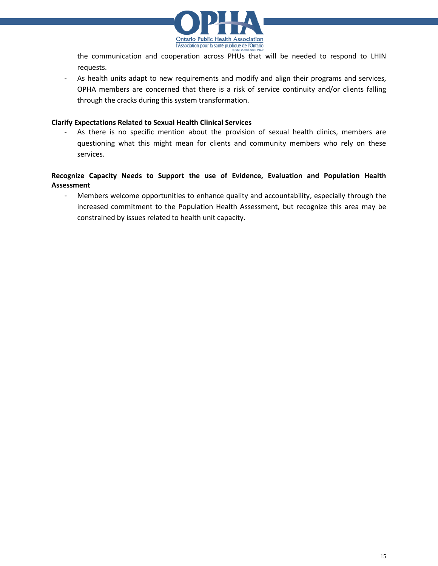

the communication and cooperation across PHUs that will be needed to respond to LHIN requests.

As health units adapt to new requirements and modify and align their programs and services, OPHA members are concerned that there is a risk of service continuity and/or clients falling through the cracks during this system transformation.

#### **Clarify Expectations Related to Sexual Health Clinical Services**

As there is no specific mention about the provision of sexual health clinics, members are questioning what this might mean for clients and community members who rely on these services.

## **Recognize Capacity Needs to Support the use of Evidence, Evaluation and Population Health Assessment**

Members welcome opportunities to enhance quality and accountability, especially through the increased commitment to the Population Health Assessment, but recognize this area may be constrained by issues related to health unit capacity.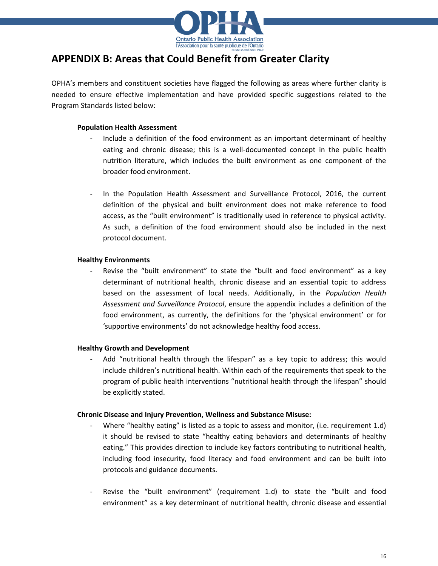

## **APPENDIX B: Areas that Could Benefit from Greater Clarity**

OPHA's members and constituent societies have flagged the following as areas where further clarity is needed to ensure effective implementation and have provided specific suggestions related to the Program Standards listed below:

#### **Population Health Assessment**

- Include a definition of the food environment as an important determinant of healthy eating and chronic disease; this is a well-documented concept in the public health nutrition literature, which includes the built environment as one component of the broader food environment.
- In the Population Health Assessment and Surveillance Protocol, 2016, the current definition of the physical and built environment does not make reference to food access, as the "built environment" is traditionally used in reference to physical activity. As such, a definition of the food environment should also be included in the next protocol document.

#### **Healthy Environments**

Revise the "built environment" to state the "built and food environment" as a key determinant of nutritional health, chronic disease and an essential topic to address based on the assessment of local needs. Additionally, in the *Population Health Assessment and Surveillance Protocol*, ensure the appendix includes a definition of the food environment, as currently, the definitions for the 'physical environment' or for 'supportive environments' do not acknowledge healthy food access.

#### **Healthy Growth and Development**

- Add "nutritional health through the lifespan" as a key topic to address; this would include children's nutritional health. Within each of the requirements that speak to the program of public health interventions "nutritional health through the lifespan" should be explicitly stated.

#### **Chronic Disease and Injury Prevention, Wellness and Substance Misuse:**

- Where "healthy eating" is listed as a topic to assess and monitor, (i.e. requirement 1.d) it should be revised to state "healthy eating behaviors and determinants of healthy eating." This provides direction to include key factors contributing to nutritional health, including food insecurity, food literacy and food environment and can be built into protocols and guidance documents.
- Revise the "built environment" (requirement 1.d) to state the "built and food environment" as a key determinant of nutritional health, chronic disease and essential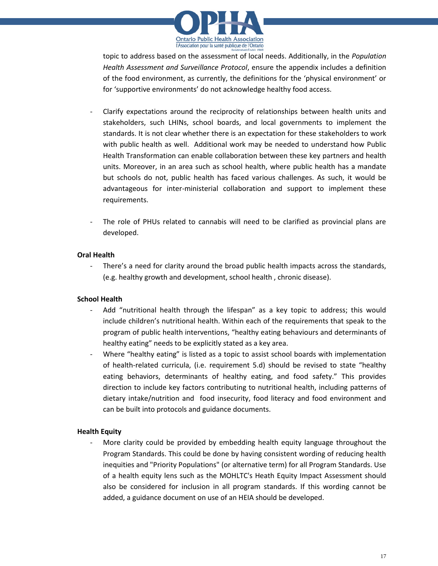

topic to address based on the assessment of local needs. Additionally, in the *Population Health Assessment and Surveillance Protocol*, ensure the appendix includes a definition of the food environment, as currently, the definitions for the 'physical environment' or for 'supportive environments' do not acknowledge healthy food access.

- Clarify expectations around the reciprocity of relationships between health units and stakeholders, such LHINs, school boards, and local governments to implement the standards. It is not clear whether there is an expectation for these stakeholders to work with public health as well. Additional work may be needed to understand how Public Health Transformation can enable collaboration between these key partners and health units. Moreover, in an area such as school health, where public health has a mandate but schools do not, public health has faced various challenges. As such, it would be advantageous for inter-ministerial collaboration and support to implement these requirements.
- The role of PHUs related to cannabis will need to be clarified as provincial plans are developed.

#### **Oral Health**

- There's a need for clarity around the broad public health impacts across the standards, (e.g. healthy growth and development, school health , chronic disease).

## **School Health**

- Add "nutritional health through the lifespan" as a key topic to address; this would include children's nutritional health. Within each of the requirements that speak to the program of public health interventions, "healthy eating behaviours and determinants of healthy eating" needs to be explicitly stated as a key area.
- Where "healthy eating" is listed as a topic to assist school boards with implementation of health-related curricula, (i.e. requirement 5.d) should be revised to state "healthy eating behaviors, determinants of healthy eating, and food safety." This provides direction to include key factors contributing to nutritional health, including patterns of dietary intake/nutrition and food insecurity, food literacy and food environment and can be built into protocols and guidance documents.

#### **Health Equity**

- More clarity could be provided by embedding health equity language throughout the Program Standards. This could be done by having consistent wording of reducing health inequities and "Priority Populations" (or alternative term) for all Program Standards. Use of a health equity lens such as the MOHLTC's Heath Equity Impact Assessment should also be considered for inclusion in all program standards. If this wording cannot be added, a guidance document on use of an HEIA should be developed.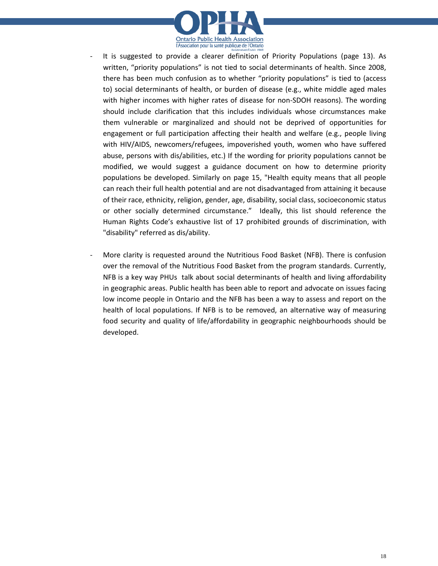

- It is suggested to provide a clearer definition of Priority Populations (page 13). As written, "priority populations" is not tied to social determinants of health. Since 2008, there has been much confusion as to whether "priority populations" is tied to (access to) social determinants of health, or burden of disease (e.g., white middle aged males with higher incomes with higher rates of disease for non-SDOH reasons). The wording should include clarification that this includes individuals whose circumstances make them vulnerable or marginalized and should not be deprived of opportunities for engagement or full participation affecting their health and welfare (e.g., people living with HIV/AIDS, newcomers/refugees, impoverished youth, women who have suffered abuse, persons with dis/abilities, etc.) If the wording for priority populations cannot be modified, we would suggest a guidance document on how to determine priority populations be developed. Similarly on page 15, "Health equity means that all people can reach their full health potential and are not disadvantaged from attaining it because of their race, ethnicity, religion, gender, age, disability, social class, socioeconomic status or other socially determined circumstance." Ideally, this list should reference the Human Rights Code's exhaustive list of 17 prohibited grounds of discrimination, with "disability" referred as dis/ability.
- More clarity is requested around the Nutritious Food Basket (NFB). There is confusion over the removal of the Nutritious Food Basket from the program standards. Currently, NFB is a key way PHUs talk about social determinants of health and living affordability in geographic areas. Public health has been able to report and advocate on issues facing low income people in Ontario and the NFB has been a way to assess and report on the health of local populations. If NFB is to be removed, an alternative way of measuring food security and quality of life/affordability in geographic neighbourhoods should be developed.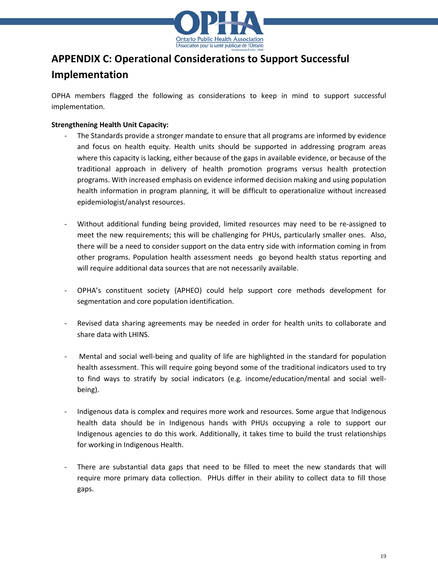

## **APPENDIX C: Operational Considerations to Support Successful**

## **Implementation**

OPHA members flagged the following as considerations to keep in mind to support successful implementation.

## **Strengthening Health Unit Capacity:**

- The Standards provide a stronger mandate to ensure that all programs are informed by evidence and focus on health equity. Health units should be supported in addressing program areas where this capacity is lacking, either because of the gaps in available evidence, or because of the traditional approach in delivery of health promotion programs versus health protection programs. With increased emphasis on evidence informed decision making and using population health information in program planning, it will be difficult to operationalize without increased epidemiologist/analyst resources.
- Without additional funding being provided, limited resources may need to be re-assigned to meet the new requirements; this will be challenging for PHUs, particularly smaller ones. Also, there will be a need to consider support on the data entry side with information coming in from other programs. Population health assessment needs go beyond health status reporting and will require additional data sources that are not necessarily available.
- OPHA's constituent society (APHEO) could help support core methods development for segmentation and core population identification.
- Revised data sharing agreements may be needed in order for health units to collaborate and share data with LHINS.
- Mental and social well-being and quality of life are highlighted in the standard for population health assessment. This will require going beyond some of the traditional indicators used to try to find ways to stratify by social indicators (e.g. income/education/mental and social wellbeing).
- Indigenous data is complex and requires more work and resources. Some argue that Indigenous health data should be in Indigenous hands with PHUs occupying a role to support our Indigenous agencies to do this work. Additionally, it takes time to build the trust relationships for working in Indigenous Health.
- There are substantial data gaps that need to be filled to meet the new standards that will require more primary data collection. PHUs differ in their ability to collect data to fill those gaps.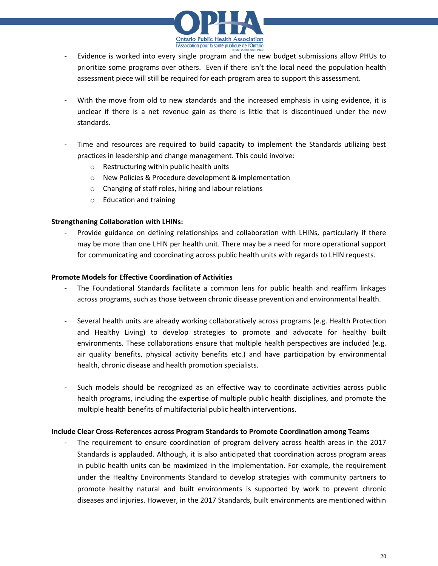

- Evidence is worked into every single program and the new budget submissions allow PHUs to prioritize some programs over others. Even if there isn't the local need the population health assessment piece will still be required for each program area to support this assessment.
- With the move from old to new standards and the increased emphasis in using evidence, it is unclear if there is a net revenue gain as there is little that is discontinued under the new standards.
- Time and resources are required to build capacity to implement the Standards utilizing best practices in leadership and change management. This could involve:
	- o Restructuring within public health units
	- o New Policies & Procedure development & implementation
	- o Changing of staff roles, hiring and labour relations
	- o Education and training

#### **Strengthening Collaboration with LHINs:**

Provide guidance on defining relationships and collaboration with LHINs, particularly if there may be more than one LHIN per health unit. There may be a need for more operational support for communicating and coordinating across public health units with regards to LHIN requests.

#### **Promote Models for Effective Coordination of Activities**

- The Foundational Standards facilitate a common lens for public health and reaffirm linkages across programs, such as those between chronic disease prevention and environmental health.
- Several health units are already working collaboratively across programs (e.g. Health Protection and Healthy Living) to develop strategies to promote and advocate for healthy built environments. These collaborations ensure that multiple health perspectives are included (e.g. air quality benefits, physical activity benefits etc.) and have participation by environmental health, chronic disease and health promotion specialists.
- Such models should be recognized as an effective way to coordinate activities across public health programs, including the expertise of multiple public health disciplines, and promote the multiple health benefits of multifactorial public health interventions.

#### **Include Clear Cross-References across Program Standards to Promote Coordination among Teams**

The requirement to ensure coordination of program delivery across health areas in the 2017 Standards is applauded. Although, it is also anticipated that coordination across program areas in public health units can be maximized in the implementation. For example, the requirement under the Healthy Environments Standard to develop strategies with community partners to promote healthy natural and built environments is supported by work to prevent chronic diseases and injuries. However, in the 2017 Standards, built environments are mentioned within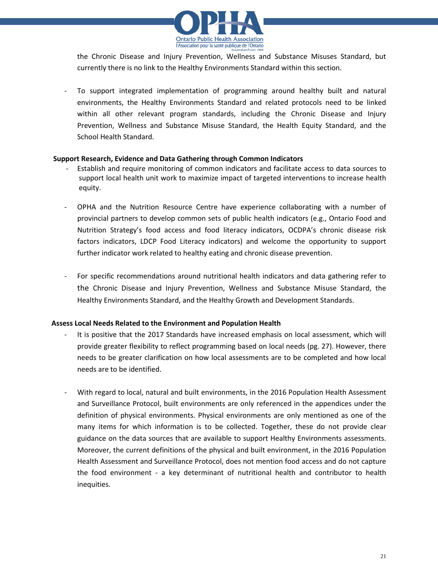

the Chronic Disease and Injury Prevention, Wellness and Substance Misuses Standard, but currently there is no link to the Healthy Environments Standard within this section.

- To support integrated implementation of programming around healthy built and natural environments, the Healthy Environments Standard and related protocols need to be linked within all other relevant program standards, including the Chronic Disease and Injury Prevention, Wellness and Substance Misuse Standard, the Health Equity Standard, and the School Health Standard.

#### **Support Research, Evidence and Data Gathering through Common Indicators**

- Establish and require monitoring of common indicators and facilitate access to data sources to support local health unit work to maximize impact of targeted interventions to increase health equity.
- OPHA and the Nutrition Resource Centre have experience collaborating with a number of provincial partners to develop common sets of public health indicators (e.g., Ontario Food and Nutrition Strategy's food access and food literacy indicators, OCDPA's chronic disease risk factors indicators, LDCP Food Literacy indicators) and welcome the opportunity to support further indicator work related to healthy eating and chronic disease prevention.
- For specific recommendations around nutritional health indicators and data gathering refer to the Chronic Disease and Injury Prevention, Wellness and Substance Misuse Standard, the Healthy Environments Standard, and the Healthy Growth and Development Standards.

#### **Assess Local Needs Related to the Environment and Population Health**

- It is positive that the 2017 Standards have increased emphasis on local assessment, which will provide greater flexibility to reflect programming based on local needs (pg. 27). However, there needs to be greater clarification on how local assessments are to be completed and how local needs are to be identified.
- With regard to local, natural and built environments, in the 2016 Population Health Assessment and Surveillance Protocol, built environments are only referenced in the appendices under the definition of physical environments. Physical environments are only mentioned as one of the many items for which information is to be collected. Together, these do not provide clear guidance on the data sources that are available to support Healthy Environments assessments. Moreover, the current definitions of the physical and built environment, in the 2016 Population Health Assessment and Surveillance Protocol, does not mention food access and do not capture the food environment - a key determinant of nutritional health and contributor to health inequities.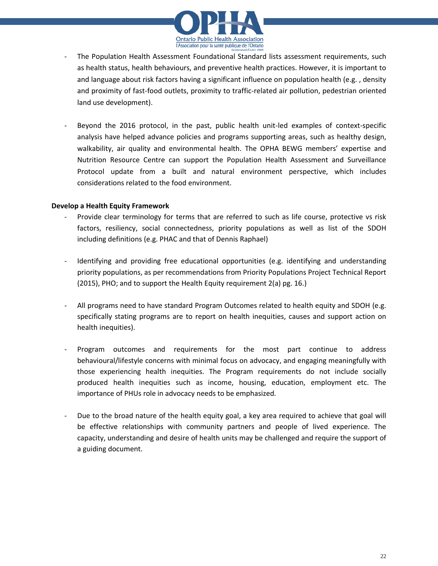

- The Population Health Assessment Foundational Standard lists assessment requirements, such as health status, health behaviours, and preventive health practices. However, it is important to and language about risk factors having a significant influence on population health (e.g. , density and proximity of fast-food outlets, proximity to traffic-related air pollution, pedestrian oriented land use development).
- Beyond the 2016 protocol, in the past, public health unit-led examples of context-specific analysis have helped advance policies and programs supporting areas, such as healthy design, walkability, air quality and environmental health. The OPHA BEWG members' expertise and Nutrition Resource Centre can support the Population Health Assessment and Surveillance Protocol update from a built and natural environment perspective, which includes considerations related to the food environment.

#### **Develop a Health Equity Framework**

- Provide clear terminology for terms that are referred to such as life course, protective vs risk factors, resiliency, social connectedness, priority populations as well as list of the SDOH including definitions (e.g. PHAC and that of Dennis Raphael)
- Identifying and providing free educational opportunities (e.g. identifying and understanding priority populations, as per recommendations from Priority Populations Project Technical Report (2015), PHO; and to support the Health Equity requirement 2(a) pg. 16.)
- All programs need to have standard Program Outcomes related to health equity and SDOH (e.g. specifically stating programs are to report on health inequities, causes and support action on health inequities).
- Program outcomes and requirements for the most part continue to address behavioural/lifestyle concerns with minimal focus on advocacy, and engaging meaningfully with those experiencing health inequities. The Program requirements do not include socially produced health inequities such as income, housing, education, employment etc. The importance of PHUs role in advocacy needs to be emphasized.
- Due to the broad nature of the health equity goal, a key area required to achieve that goal will be effective relationships with community partners and people of lived experience. The capacity, understanding and desire of health units may be challenged and require the support of a guiding document.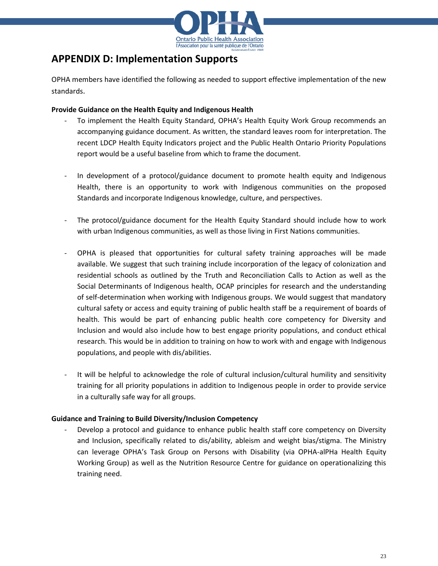

## **APPENDIX D: Implementation Supports**

OPHA members have identified the following as needed to support effective implementation of the new standards.

## **Provide Guidance on the Health Equity and Indigenous Health**

- To implement the Health Equity Standard, OPHA's Health Equity Work Group recommends an accompanying guidance document. As written, the standard leaves room for interpretation. The recent LDCP Health Equity Indicators project and the Public Health Ontario Priority Populations report would be a useful baseline from which to frame the document.
- In development of a protocol/guidance document to promote health equity and Indigenous Health, there is an opportunity to work with Indigenous communities on the proposed Standards and incorporate Indigenous knowledge, culture, and perspectives.
- The protocol/guidance document for the Health Equity Standard should include how to work with urban Indigenous communities, as well as those living in First Nations communities.
- OPHA is pleased that opportunities for cultural safety training approaches will be made available. We suggest that such training include incorporation of the legacy of colonization and residential schools as outlined by the Truth and Reconciliation Calls to Action as well as the Social Determinants of Indigenous health, OCAP principles for research and the understanding of self-determination when working with Indigenous groups. We would suggest that mandatory cultural safety or access and equity training of public health staff be a requirement of boards of health. This would be part of enhancing public health core competency for Diversity and Inclusion and would also include how to best engage priority populations, and conduct ethical research. This would be in addition to training on how to work with and engage with Indigenous populations, and people with dis/abilities.
- It will be helpful to acknowledge the role of cultural inclusion/cultural humility and sensitivity training for all priority populations in addition to Indigenous people in order to provide service in a culturally safe way for all groups.

## **Guidance and Training to Build Diversity/Inclusion Competency**

Develop a protocol and guidance to enhance public health staff core competency on Diversity and Inclusion, specifically related to dis/ability, ableism and weight bias/stigma. The Ministry can leverage OPHA's Task Group on Persons with Disability (via OPHA-alPHa Health Equity Working Group) as well as the Nutrition Resource Centre for guidance on operationalizing this training need.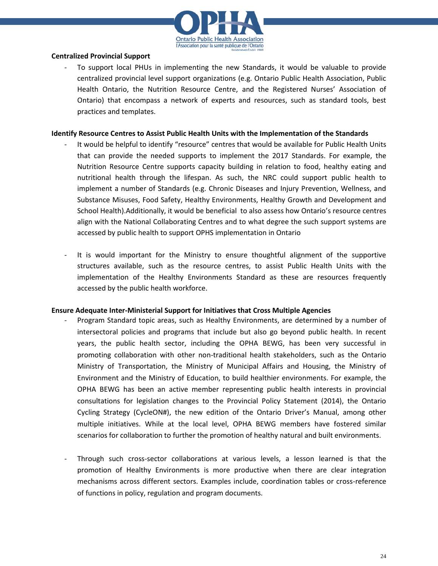

#### **Centralized Provincial Support**

- To support local PHUs in implementing the new Standards, it would be valuable to provide centralized provincial level support organizations (e.g. Ontario Public Health Association, Public Health Ontario, the Nutrition Resource Centre, and the Registered Nurses' Association of Ontario) that encompass a network of experts and resources, such as standard tools, best practices and templates.

#### **Identify Resource Centres to Assist Public Health Units with the Implementation of the Standards**

- It would be helpful to identify "resource" centres that would be available for Public Health Units that can provide the needed supports to implement the 2017 Standards. For example, the Nutrition Resource Centre supports capacity building in relation to food, healthy eating and nutritional health through the lifespan. As such, the NRC could support public health to implement a number of Standards (e.g. Chronic Diseases and Injury Prevention, Wellness, and Substance Misuses, Food Safety, Healthy Environments, Healthy Growth and Development and School Health).Additionally, it would be beneficial to also assess how Ontario's resource centres align with the National Collaborating Centres and to what degree the such support systems are accessed by public health to support OPHS implementation in Ontario
- It is would important for the Ministry to ensure thoughtful alignment of the supportive structures available, such as the resource centres, to assist Public Health Units with the implementation of the Healthy Environments Standard as these are resources frequently accessed by the public health workforce.

#### **Ensure Adequate Inter-Ministerial Support for Initiatives that Cross Multiple Agencies**

- Program Standard topic areas, such as Healthy Environments, are determined by a number of intersectoral policies and programs that include but also go beyond public health. In recent years, the public health sector, including the OPHA BEWG, has been very successful in promoting collaboration with other non-traditional health stakeholders, such as the Ontario Ministry of Transportation, the Ministry of Municipal Affairs and Housing, the Ministry of Environment and the Ministry of Education, to build healthier environments. For example, the OPHA BEWG has been an active member representing public health interests in provincial consultations for legislation changes to the Provincial Policy Statement (2014), the Ontario Cycling Strategy (CycleON#), the new edition of the Ontario Driver's Manual, among other multiple initiatives. While at the local level, OPHA BEWG members have fostered similar scenarios for collaboration to further the promotion of healthy natural and built environments.
- Through such cross-sector collaborations at various levels, a lesson learned is that the promotion of Healthy Environments is more productive when there are clear integration mechanisms across different sectors. Examples include, coordination tables or cross-reference of functions in policy, regulation and program documents.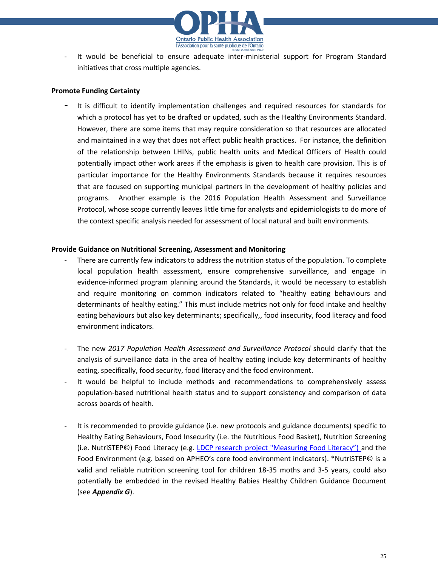

It would be beneficial to ensure adequate inter-ministerial support for Program Standard initiatives that cross multiple agencies.

#### **Promote Funding Certainty**

It is difficult to identify implementation challenges and required resources for standards for which a protocol has yet to be drafted or updated, such as the Healthy Environments Standard. However, there are some items that may require consideration so that resources are allocated and maintained in a way that does not affect public health practices. For instance, the definition of the relationship between LHINs, public health units and Medical Officers of Health could potentially impact other work areas if the emphasis is given to health care provision. This is of particular importance for the Healthy Environments Standards because it requires resources that are focused on supporting municipal partners in the development of healthy policies and programs. Another example is the 2016 Population Health Assessment and Surveillance Protocol, whose scope currently **l**eaves little time for analysts and epidemiologists to do more of the context specific analysis needed for assessment of local natural and built environments.

#### **Provide Guidance on Nutritional Screening, Assessment and Monitoring**

- There are currently few indicators to address the nutrition status of the population. To complete local population health assessment, ensure comprehensive surveillance, and engage in evidence-informed program planning around the Standards, it would be necessary to establish and require monitoring on common indicators related to "healthy eating behaviours and determinants of healthy eating." This must include metrics not only for food intake and healthy eating behaviours but also key determinants; specifically,, food insecurity, food literacy and food environment indicators.
- The new *2017 Population Health Assessment and Surveillance Protocol* should clarify that the analysis of surveillance data in the area of healthy eating include key determinants of healthy eating, specifically, food security, food literacy and the food environment.
- It would be helpful to include methods and recommendations to comprehensively assess population-based nutritional health status and to support consistency and comparison of data across boards of health.
- It is recommended to provide guidance (i.e. new protocols and guidance documents) specific to Healthy Eating Behaviours, Food Insecurity (i.e. the Nutritious Food Basket), Nutrition Screening (i.e. NutriSTEP<sup>®</sup>) Food Literacy (e.g. LDCP research project "Measuring Food Literacy") and the Food Environment (e.g. based on APHEO's core food environment indicators). \*NutriSTEP© is a valid and reliable nutrition screening tool for children 18-35 moths and 3-5 years, could also potentially be embedded in the revised Healthy Babies Healthy Children Guidance Document (see *Appendix G*).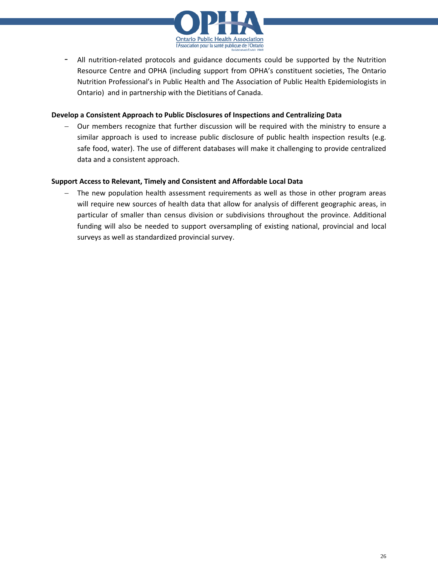

- All nutrition-related protocols and guidance documents could be supported by the Nutrition Resource Centre and OPHA (including support from OPHA's constituent societies, The Ontario Nutrition Professional's in Public Health and The Association of Public Health Epidemiologists in Ontario) and in partnership with the Dietitians of Canada.

#### **Develop a Consistent Approach to Public Disclosures of Inspections and Centralizing Data**

 Our members recognize that further discussion will be required with the ministry to ensure a similar approach is used to increase public disclosure of public health inspection results (e.g. safe food, water). The use of different databases will make it challenging to provide centralized data and a consistent approach.

#### **Support Access to Relevant, Timely and Consistent and Affordable Local Data**

 The new population health assessment requirements as well as those in other program areas will require new sources of health data that allow for analysis of different geographic areas, in particular of smaller than census division or subdivisions throughout the province. Additional funding will also be needed to support oversampling of existing national, provincial and local surveys as well as standardized provincial survey.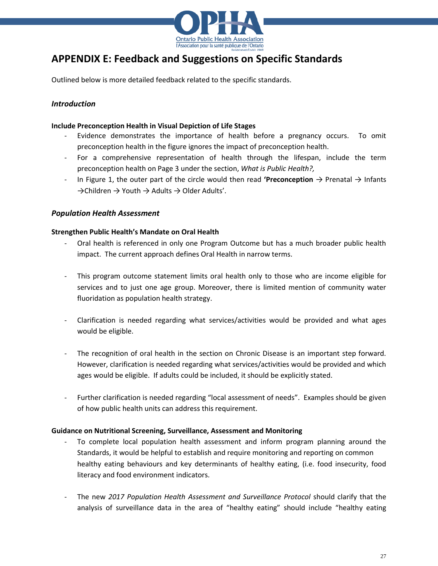

## **APPENDIX E: Feedback and Suggestions on Specific Standards**

Outlined below is more detailed feedback related to the specific standards.

## *Introduction*

#### **Include Preconception Health in Visual Depiction of Life Stages**

- Evidence demonstrates the importance of health before a pregnancy occurs. To omit preconception health in the figure ignores the impact of preconception health.
- For a comprehensive representation of health through the lifespan, include the term preconception health on Page 3 under the section, *What is Public Health?,*
- In Figure 1, the outer part of the circle would then read **'Preconception** → Prenatal → Infants  $\rightarrow$ Children  $\rightarrow$  Youth  $\rightarrow$  Adults  $\rightarrow$  Older Adults'.

#### *Population Health Assessment*

#### **Strengthen Public Health's Mandate on Oral Health**

- Oral health is referenced in only one Program Outcome but has a much broader public health impact. The current approach defines Oral Health in narrow terms.
- This program outcome statement limits oral health only to those who are income eligible for services and to just one age group. Moreover, there is limited mention of community water fluoridation as population health strategy.
- Clarification is needed regarding what services/activities would be provided and what ages would be eligible.
- The recognition of oral health in the section on Chronic Disease is an important step forward. However, clarification is needed regarding what services/activities would be provided and which ages would be eligible. If adults could be included, it should be explicitly stated.
- Further clarification is needed regarding "local assessment of needs". Examples should be given of how public health units can address this requirement.

#### **Guidance on Nutritional Screening, Surveillance, Assessment and Monitoring**

- To complete local population health assessment and inform program planning around the Standards, it would be helpful to establish and require monitoring and reporting on common healthy eating behaviours and key determinants of healthy eating, (i.e. food insecurity, food literacy and food environment indicators.
- The new *2017 Population Health Assessment and Surveillance Protocol* should clarify that the analysis of surveillance data in the area of "healthy eating" should include "healthy eating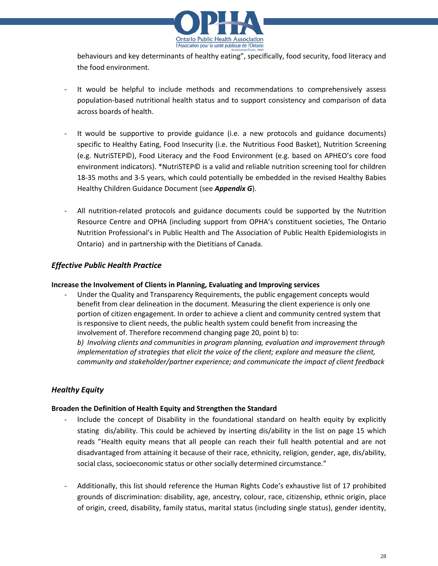

behaviours and key determinants of healthy eating", specifically, food security, food literacy and the food environment.

- It would be helpful to include methods and recommendations to comprehensively assess population-based nutritional health status and to support consistency and comparison of data across boards of health.
- It would be supportive to provide guidance (i.e. a new protocols and guidance documents) specific to Healthy Eating, Food Insecurity (i.e. the Nutritious Food Basket), Nutrition Screening (e.g. NutriSTEP©), Food Literacy and the Food Environment (e.g. based on APHEO's core food environment indicators). \*NutriSTEP© is a valid and reliable nutrition screening tool for children 18-35 moths and 3-5 years, which could potentially be embedded in the revised Healthy Babies Healthy Children Guidance Document (see *Appendix G*).
- All nutrition-related protocols and guidance documents could be supported by the Nutrition Resource Centre and OPHA (including support from OPHA's constituent societies, The Ontario Nutrition Professional's in Public Health and The Association of Public Health Epidemiologists in Ontario) and in partnership with the Dietitians of Canada.

## *Effective Public Health Practice*

#### **Increase the Involvement of Clients in Planning, Evaluating and Improving services**

Under the Quality and Transparency Requirements, the public engagement concepts would benefit from clear delineation in the document. Measuring the client experience is only one portion of citizen engagement. In order to achieve a client and community centred system that is responsive to client needs, the public health system could benefit from increasing the involvement of. Therefore recommend changing page 20, point b) to:

*b) Involving clients and communities in program planning, evaluation and improvement through implementation of strategies that elicit the voice of the client; explore and measure the client, community and stakeholder/partner experience; and communicate the impact of client feedback*

## *Healthy Equity*

#### **Broaden the Definition of Health Equity and Strengthen the Standard**

- Include the concept of Disability in the foundational standard on health equity by explicitly stating dis/ability. This could be achieved by inserting dis/ability in the list on page 15 which reads "Health equity means that all people can reach their full health potential and are not disadvantaged from attaining it because of their race, ethnicity, religion, gender, age, dis/ability, social class, socioeconomic status or other socially determined circumstance."
- Additionally, this list should reference the Human Rights Code's exhaustive list of 17 prohibited grounds of discrimination: disability, age, ancestry, colour, race, citizenship, ethnic origin, place of origin, creed, disability, family status, marital status (including single status), gender identity,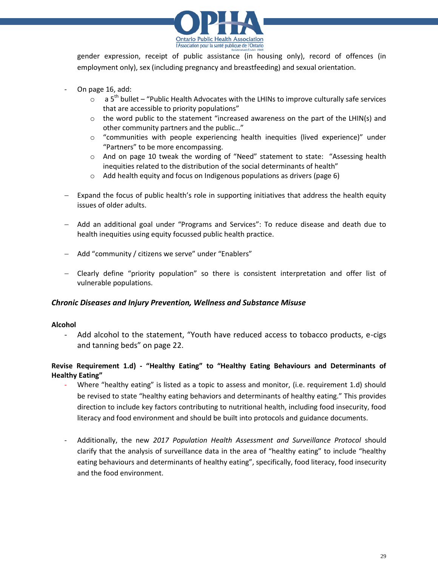

gender expression, receipt of public assistance (in housing only), record of offences (in employment only), sex (including pregnancy and breastfeeding) and sexual orientation.

- On page 16, add:
	- $\circ$  a 5<sup>th</sup> bullet "Public Health Advocates with the LHINs to improve culturally safe services that are accessible to priority populations"
	- $\circ$  the word public to the statement "increased awareness on the part of the LHIN(s) and other community partners and the public…"
	- o "communities with people experiencing health inequities (lived experience)" under "Partners" to be more encompassing.
	- o And on page 10 tweak the wording of "Need" statement to state: "Assessing health inequities related to the distribution of the social determinants of health"
	- o Add health equity and focus on Indigenous populations as drivers (page 6)
- Expand the focus of public health's role in supporting initiatives that address the health equity issues of older adults.
- Add an additional goal under "Programs and Services": To reduce disease and death due to health inequities using equity focussed public health practice.
- Add "community / citizens we serve" under "Enablers"
- Clearly define "priority population" so there is consistent interpretation and offer list of vulnerable populations.

## *Chronic Diseases and Injury Prevention, Wellness and Substance Misuse*

#### **Alcohol**

- Add alcohol to the statement, "Youth have reduced access to tobacco products, e-cigs and tanning beds" on page 22.

## **Revise Requirement 1.d) - "Healthy Eating" to "Healthy Eating Behaviours and Determinants of Healthy Eating"**

- Where "healthy eating" is listed as a topic to assess and monitor, (i.e. requirement 1.d) should be revised to state "healthy eating behaviors and determinants of healthy eating." This provides direction to include key factors contributing to nutritional health, including food insecurity, food literacy and food environment and should be built into protocols and guidance documents.
- Additionally, the new *2017 Population Health Assessment and Surveillance Protocol* should clarify that the analysis of surveillance data in the area of "healthy eating" to include "healthy eating behaviours and determinants of healthy eating", specifically, food literacy, food insecurity and the food environment.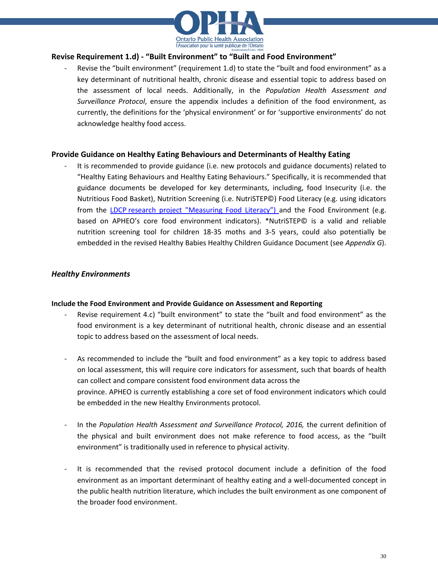

## **Revise Requirement 1.d) - "Built Environment" to "Built and Food Environment"**

Revise the "built environment" (requirement 1.d) to state the "built and food environment" as a key determinant of nutritional health, chronic disease and essential topic to address based on the assessment of local needs. Additionally, in the *Population Health Assessment and Surveillance Protocol*, ensure the appendix includes a definition of the food environment, as currently, the definitions for the 'physical environment' or for 'supportive environments' do not acknowledge healthy food access.

#### **Provide Guidance on Healthy Eating Behaviours and Determinants of Healthy Eating**

It is recommended to provide guidance (i.e. new protocols and guidance documents) related to "Healthy Eating Behaviours and Healthy Eating Behaviours." Specifically, it is recommended that guidance documents be developed for key determinants, including, food Insecurity (i.e. the Nutritious Food Basket), Nutrition Screening (i.e. NutriSTEP©) Food Literacy (e.g. using idicators from the LDCP research project "Measuring Food Literacy") and the Food Environment (e.g. based on APHEO's core food environment indicators). \*NutriSTEP© is a valid and reliable nutrition screening tool for children 18-35 moths and 3-5 years, could also potentially be embedded in the revised Healthy Babies Healthy Children Guidance Document (see *Appendix G*).

#### *Healthy Environments*

#### **Include the Food Environment and Provide Guidance on Assessment and Reporting**

- Revise requirement 4.c) "built environment" to state the "built and food environment" as the food environment is a key determinant of nutritional health, chronic disease and an essential topic to address based on the assessment of local needs.
- As recommended to include the "built and food environment" as a key topic to address based on local assessment, this will require core indicators for assessment, such that boards of health can collect and compare consistent food environment data across the province. APHEO is currently establishing a core set of food environment indicators which could be embedded in the new Healthy Environments protocol.
- In the *Population Health Assessment and Surveillance Protocol, 2016,* the current definition of the physical and built environment does not make reference to food access, as the "built environment" is traditionally used in reference to physical activity.
- It is recommended that the revised protocol document include a definition of the food environment as an important determinant of healthy eating and a well-documented concept in the public health nutrition literature, which includes the built environment as one component of the broader food environment.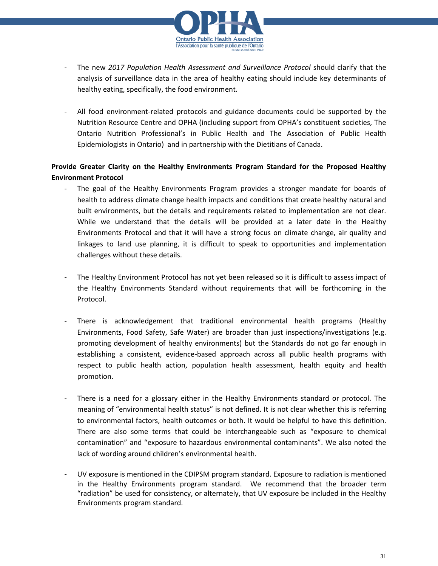

- The new *2017 Population Health Assessment and Surveillance Protocol* should clarify that the analysis of surveillance data in the area of healthy eating should include key determinants of healthy eating, specifically, the food environment.
- All food environment-related protocols and guidance documents could be supported by the Nutrition Resource Centre and OPHA (including support from OPHA's constituent societies, The Ontario Nutrition Professional's in Public Health and The Association of Public Health Epidemiologists in Ontario) and in partnership with the Dietitians of Canada.

## **Provide Greater Clarity on the Healthy Environments Program Standard for the Proposed Healthy Environment Protocol**

- The goal of the Healthy Environments Program provides a stronger mandate for boards of health to address climate change health impacts and conditions that create healthy natural and built environments, but the details and requirements related to implementation are not clear. While we understand that the details will be provided at a later date in the Healthy Environments Protocol and that it will have a strong focus on climate change, air quality and linkages to land use planning, it is difficult to speak to opportunities and implementation challenges without these details.
- The Healthy Environment Protocol has not yet been released so it is difficult to assess impact of the Healthy Environments Standard without requirements that will be forthcoming in the Protocol.
- There is acknowledgement that traditional environmental health programs (Healthy Environments, Food Safety, Safe Water) are broader than just inspections/investigations (e.g. promoting development of healthy environments) but the Standards do not go far enough in establishing a consistent, evidence-based approach across all public health programs with respect to public health action, population health assessment, health equity and health promotion.
- There is a need for a glossary either in the Healthy Environments standard or protocol. The meaning of "environmental health status" is not defined. It is not clear whether this is referring to environmental factors, health outcomes or both. It would be helpful to have this definition. There are also some terms that could be interchangeable such as "exposure to chemical contamination" and "exposure to hazardous environmental contaminants". We also noted the lack of wording around children's environmental health.
- UV exposure is mentioned in the CDIPSM program standard. Exposure to radiation is mentioned in the Healthy Environments program standard. We recommend that the broader term "radiation" be used for consistency, or alternately, that UV exposure be included in the Healthy Environments program standard.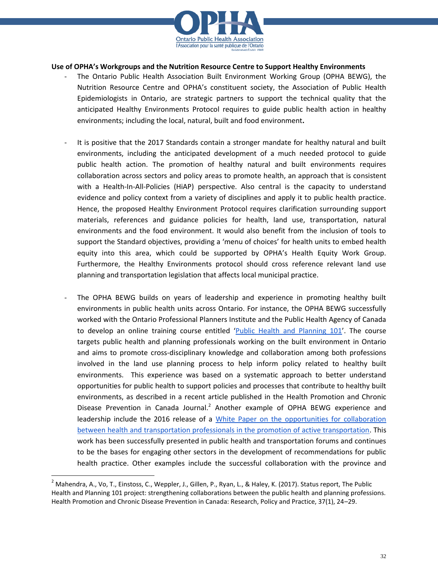

#### **Use of OPHA's Workgroups and the Nutrition Resource Centre to Support Healthy Environments**

- The Ontario Public Health Association Built Environment Working Group (OPHA BEWG), the Nutrition Resource Centre and OPHA's constituent society, the Association of Public Health Epidemiologists in Ontario, are strategic partners to support the technical quality that the anticipated Healthy Environments Protocol requires to guide public health action in healthy environments; including the local, natural, built and food environment**.**
- It is positive that the 2017 Standards contain a stronger mandate for healthy natural and built environments, including the anticipated development of a much needed protocol to guide public health action. The promotion of healthy natural and built environments requires collaboration across sectors and policy areas to promote health, an approach that is consistent with a Health-In-All-Policies (HiAP) perspective. Also central is the capacity to understand evidence and policy context from a variety of disciplines and apply it to public health practice. Hence, the proposed Healthy Environment Protocol requires clarification surrounding support materials, references and guidance policies for health, land use, transportation, natural environments and the food environment. It would also benefit from the inclusion of tools to support the Standard objectives, providing a 'menu of choices' for health units to embed health equity into this area, which could be supported by OPHA's Health Equity Work Group. Furthermore, the Healthy Environments protocol should cross reference relevant land use planning and transportation legislation that affects local municipal practice.
- The OPHA BEWG builds on years of leadership and experience in promoting healthy built environments in public health units across Ontario. For instance, the OPHA BEWG successfully worked with the Ontario Professional Planners Institute and the Public Health Agency of Canada to develop an online training course entitled '[Public Health and Planning 101](http://www.opha.on.ca/What-We-Do/Projects/Built-Environment.aspx)'. The course targets public health and planning professionals working on the built environment in Ontario and aims to promote cross-disciplinary knowledge and collaboration among both professions involved in the land use planning process to help inform policy related to healthy built environments. This experience was based on a systematic approach to better understand opportunities for public health to support policies and processes that contribute to healthy built environments, as described in a recent article published in the Health Promotion and Chronic Disease Prevention in Canada Journal.<sup>2</sup> Another example of OPHA BEWG experience and leadership include the 2016 release of a [White Paper on the opportunities for collaboration](http://www.opha.on.ca/getmedia/01e4f418-8ab1-43c0-aa17-054afd96b11a/OPHA-White-Paper-Summary-Transportation-and-Health-(March-30-2016)_-Fin.pdf.aspx)  [between health and transportation professionals in the promotion of active transportation.](http://www.opha.on.ca/getmedia/01e4f418-8ab1-43c0-aa17-054afd96b11a/OPHA-White-Paper-Summary-Transportation-and-Health-(March-30-2016)_-Fin.pdf.aspx) This work has been successfully presented in public health and transportation forums and continues to be the bases for engaging other sectors in the development of recommendations for public health practice. Other examples include the successful collaboration with the province and

 $\overline{a}$ 

<sup>&</sup>lt;sup>2</sup> Mahendra, A., Vo, T., Einstoss, C., Weppler, J., Gillen, P., Ryan, L., & Haley, K. (2017). Status report, The Public Health and Planning 101 project: strengthening collaborations between the public health and planning professions. Health Promotion and Chronic Disease Prevention in Canada: Research, Policy and Practice, 37(1), 24–29.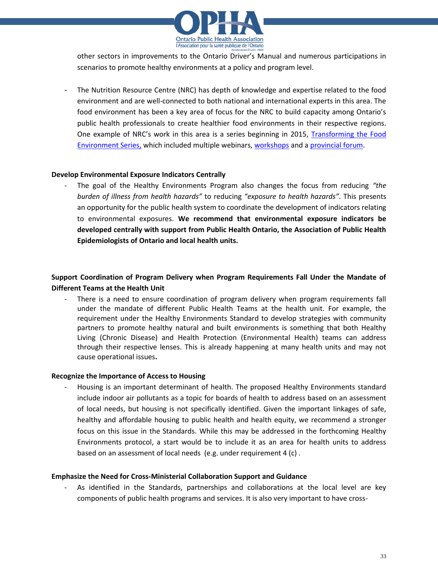

other sectors in improvements to the Ontario Driver's Manual and numerous participations in scenarios to promote healthy environments at a policy and program level.

The Nutrition Resource Centre (NRC) has depth of knowledge and expertise related to the food environment and are well-connected to both national and international experts in this area. The food environment has been a key area of focus for the NRC to build capacity among Ontario's public health professionals to create healthier food environments in their respective regions. One example of NRC's work in this area is a series beginning in 2015, [Transforming the Food](http://opha.on.ca/Nutrition-Resource-Centre/News/NRC-News/2015/October-2015/Introducing-NRC-s-Food-Environment-Series.aspx)  [Environment Series,](http://opha.on.ca/Nutrition-Resource-Centre/News/NRC-News/2015/October-2015/Introducing-NRC-s-Food-Environment-Series.aspx) which included multiple webinars[, workshops](http://opha.on.ca/Nutrition-Resource-Centre/News/NRC-News/2015/November-2015/NRC%E2%80%99s-Workshop-Builds-Capacity-to-Create-Healthier.aspx) and [a provincial forum.](http://opha.on.ca/Nutrition-Resource-Centre/Events/Events/Transforming-the-Food-Environment.aspx)

#### **Develop Environmental Exposure Indicators Centrally**

- The goal of the Healthy Environments Program also changes the focus from reducing *"the burden of illness from health hazards"* to reducing *"exposure to health hazards"*. This presents an opportunity for the public health system to coordinate the development of indicators relating to environmental exposures. **We recommend that environmental exposure indicators be developed centrally with support from Public Health Ontario, the Association of Public Health Epidemiologists of Ontario and local health units.**

## **Support Coordination of Program Delivery when Program Requirements Fall Under the Mandate of Different Teams at the Health Unit**

There is a need to ensure coordination of program delivery when program requirements fall under the mandate of different Public Health Teams at the health unit. For example, the requirement under the Healthy Environments Standard to develop strategies with community partners to promote healthy natural and built environments is something that both Healthy Living (Chronic Disease) and Health Protection (Environmental Health) teams can address through their respective lenses. This is already happening at many health units and may not cause operational issues**.**

#### **Recognize the Importance of Access to Housing**

- Housing is an important determinant of health. The proposed Healthy Environments standard include indoor air pollutants as a topic for boards of health to address based on an assessment of local needs, but housing is not specifically identified. Given the important linkages of safe, healthy and affordable housing to public health and health equity, we recommend a stronger focus on this issue in the Standards. While this may be addressed in the forthcoming Healthy Environments protocol, a start would be to include it as an area for health units to address based on an assessment of local needs (e.g. under requirement 4 (c) .

#### **Emphasize the Need for Cross-Ministerial Collaboration Support and Guidance**

As identified in the Standards, partnerships and collaborations at the local level are key components of public health programs and services. It is also very important to have cross-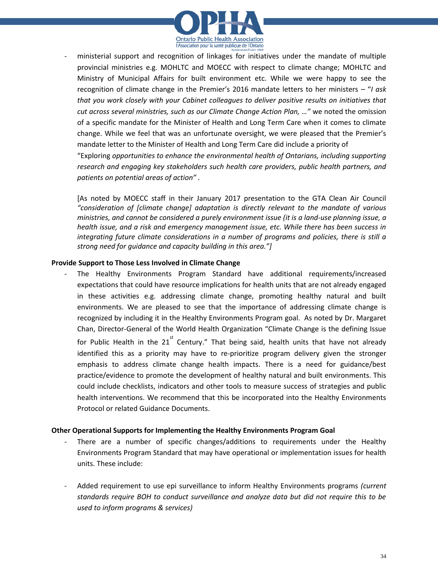

ministerial support and recognition of linkages for initiatives under the mandate of multiple provincial ministries e.g. MOHLTC and MOECC with respect to climate change; MOHLTC and Ministry of Municipal Affairs for built environment etc. While we were happy to see the recognition of climate change in the Premier's 2016 mandate letters to her ministers – "*I ask that you work closely with your Cabinet colleagues to deliver positive results on initiatives that cut across several ministries, such as our Climate Change Action Plan, …"* we noted the omission of a specific mandate for the Minister of Health and Long Term Care when it comes to climate change. While we feel that was an unfortunate oversight, we were pleased that the Premier's mandate letter to the Minister of Health and Long Term Care did include a priority of

"Exploring *opportunities to enhance the environmental health of Ontarians, including supporting research and engaging key stakeholders such health care providers, public health partners, and patients on potential areas of action" .*

[As noted by MOECC staff in their January 2017 presentation to the GTA Clean Air Council *"consideration of [climate change] adaptation is directly relevant to the mandate of various ministries, and cannot be considered a purely environment issue (it is a land-use planning issue, a health issue, and a risk and emergency management issue, etc. While there has been success in integrating future climate considerations in a number of programs and policies, there is still a strong need for guidance and capacity building in this area."]*

#### **Provide Support to Those Less Involved in Climate Change**

The Healthy Environments Program Standard have additional requirements/increased expectations that could have resource implications for health units that are not already engaged in these activities e.g. addressing climate change, promoting healthy natural and built environments. We are pleased to see that the importance of addressing climate change is recognized by including it in the Healthy Environments Program goal. As noted by Dr. Margaret Chan, Director-General of the World Health Organization "Climate Change is the defining Issue for Public Health in the 21<sup>st</sup> Century." That being said, health units that have not already identified this as a priority may have to re-prioritize program delivery given the stronger emphasis to address climate change health impacts. There is a need for guidance/best practice/evidence to promote the development of healthy natural and built environments. This could include checklists, indicators and other tools to measure success of strategies and public health interventions. We recommend that this be incorporated into the Healthy Environments Protocol or related Guidance Documents.

#### **Other Operational Supports for Implementing the Healthy Environments Program Goal**

- There are a number of specific changes/additions to requirements under the Healthy Environments Program Standard that may have operational or implementation issues for health units. These include:
- Added requirement to use epi surveillance to inform Healthy Environments programs *(current standards require BOH to conduct surveillance and analyze data but did not require this to be used to inform programs & services)*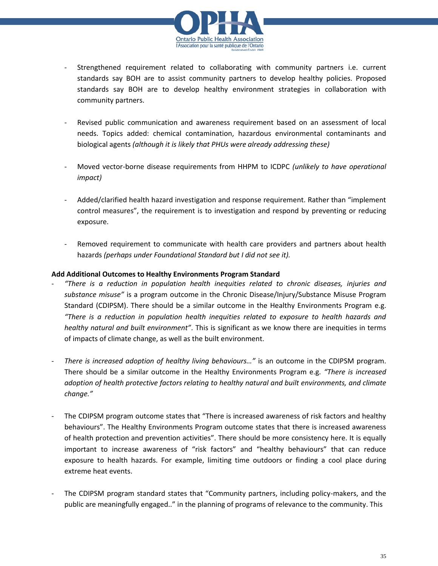

- Strengthened requirement related to collaborating with community partners i.e. current standards say BOH are to assist community partners to develop healthy policies. Proposed standards say BOH are to develop healthy environment strategies in collaboration with community partners.
- Revised public communication and awareness requirement based on an assessment of local needs. Topics added: chemical contamination, hazardous environmental contaminants and biological agents *(although it is likely that PHUs were already addressing these)*
- Moved vector-borne disease requirements from HHPM to ICDPC *(unlikely to have operational impact)*
- Added/clarified health hazard investigation and response requirement. Rather than "implement control measures", the requirement is to investigation and respond by preventing or reducing exposure.
- Removed requirement to communicate with health care providers and partners about health hazards *(perhaps under Foundational Standard but I did not see it).*

#### **Add Additional Outcomes to Healthy Environments Program Standard**

- *"There is a reduction in population health inequities related to chronic diseases, injuries and substance misuse"* is a program outcome in the Chronic Disease/Injury/Substance Misuse Program Standard (CDIPSM). There should be a similar outcome in the Healthy Environments Program e.g. *"There is a reduction in population health inequities related to exposure to health hazards and healthy natural and built environment"*. This is significant as we know there are inequities in terms of impacts of climate change, as well as the built environment.
- *There is increased adoption of healthy living behaviours…"* is an outcome in the CDIPSM program. There should be a similar outcome in the Healthy Environments Program e.g*. "There is increased adoption of health protective factors relating to healthy natural and built environments, and climate change."*
- The CDIPSM program outcome states that "There is increased awareness of risk factors and healthy behaviours". The Healthy Environments Program outcome states that there is increased awareness of health protection and prevention activities". There should be more consistency here. It is equally important to increase awareness of "risk factors" and "healthy behaviours" that can reduce exposure to health hazards. For example, limiting time outdoors or finding a cool place during extreme heat events.
- The CDIPSM program standard states that "Community partners, including policy-makers, and the public are meaningfully engaged.." in the planning of programs of relevance to the community. This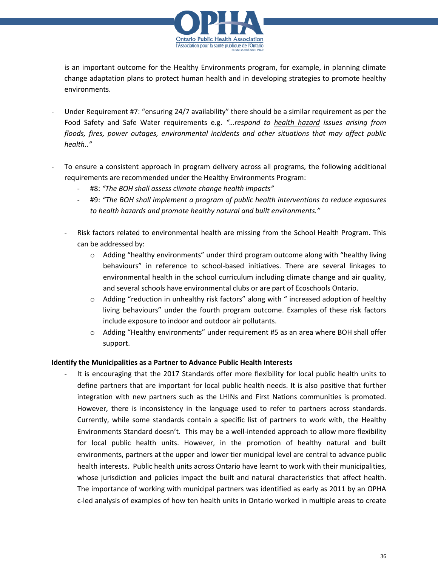

is an important outcome for the Healthy Environments program, for example, in planning climate change adaptation plans to protect human health and in developing strategies to promote healthy environments.

- Under Requirement #7: "ensuring 24/7 availability" there should be a similar requirement as per the Food Safety and Safe Water requirements e.g. *"…respond to health hazard issues arising from floods, fires, power outages, environmental incidents and other situations that may affect public health.."*
- To ensure a consistent approach in program delivery across all programs, the following additional requirements are recommended under the Healthy Environments Program:
	- #8: *"The BOH shall assess climate change health impacts"*
	- #9: *"The BOH shall implement a program of public health interventions to reduce exposures to health hazards and promote healthy natural and built environments."*
	- Risk factors related to environmental health are missing from the School Health Program. This can be addressed by:
		- $\circ$  Adding "healthy environments" under third program outcome along with "healthy living behaviours" in reference to school-based initiatives. There are several linkages to environmental health in the school curriculum including climate change and air quality, and several schools have environmental clubs or are part of Ecoschools Ontario.
		- $\circ$  Adding "reduction in unhealthy risk factors" along with " increased adoption of healthy living behaviours" under the fourth program outcome. Examples of these risk factors include exposure to indoor and outdoor air pollutants.
		- o Adding "Healthy environments" under requirement #5 as an area where BOH shall offer support.

#### **Identify the Municipalities as a Partner to Advance Public Health Interests**

It is encouraging that the 2017 Standards offer more flexibility for local public health units to define partners that are important for local public health needs. It is also positive that further integration with new partners such as the LHINs and First Nations communities is promoted. However, there is inconsistency in the language used to refer to partners across standards. Currently, while some standards contain a specific list of partners to work with, the Healthy Environments Standard doesn't. This may be a well-intended approach to allow more flexibility for local public health units. However, in the promotion of healthy natural and built environments, partners at the upper and lower tier municipal level are central to advance public health interests. Public health units across Ontario have learnt to work with their municipalities, whose jurisdiction and policies impact the built and natural characteristics that affect health. The importance of working with municipal partners was identified as early as 2011 by an OPHA c-led analysis of examples of how ten health units in Ontario worked in multiple areas to create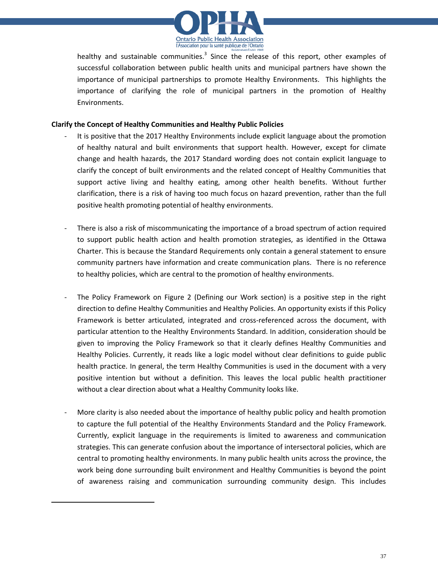

healthy and sustainable communities.<sup>3</sup> Since the release of this report, other examples of successful collaboration between public health units and municipal partners have shown the importance of municipal partnerships to promote Healthy Environments. This highlights the importance of clarifying the role of municipal partners in the promotion of Healthy Environments.

#### **Clarify the Concept of Healthy Communities and Healthy Public Policies**

- It is positive that the 2017 Healthy Environments include explicit language about the promotion of healthy natural and built environments that support health. However, except for climate change and health hazards, the 2017 Standard wording does not contain explicit language to clarify the concept of built environments and the related concept of Healthy Communities that support active living and healthy eating, among other health benefits. Without further clarification, there is a risk of having too much focus on hazard prevention, rather than the full positive health promoting potential of healthy environments.
- There is also a risk of miscommunicating the importance of a broad spectrum of action required to support public health action and health promotion strategies, as identified in the Ottawa Charter. This is because the Standard Requirements only contain a general statement to ensure community partners have information and create communication plans. There is no reference to healthy policies, which are central to the promotion of healthy environments.
- The Policy Framework on Figure 2 (Defining our Work section) is a positive step in the right direction to define Healthy Communities and Healthy Policies. An opportunity exists if this Policy Framework is better articulated, integrated and cross-referenced across the document, with particular attention to the Healthy Environments Standard. In addition, consideration should be given to improving the Policy Framework so that it clearly defines Healthy Communities and Healthy Policies. Currently, it reads like a logic model without clear definitions to guide public health practice. In general, the term Healthy Communities is used in the document with a very positive intention but without a definition. This leaves the local public health practitioner without a clear direction about what a Healthy Community looks like.
- More clarity is also needed about the importance of healthy public policy and health promotion to capture the full potential of the Healthy Environments Standard and the Policy Framework. Currently, explicit language in the requirements is limited to awareness and communication strategies. This can generate confusion about the importance of intersectoral policies, which are central to promoting healthy environments. In many public health units across the province, the work being done surrounding built environment and Healthy Communities is beyond the point of awareness raising and communication surrounding community design. This includes

 $\overline{a}$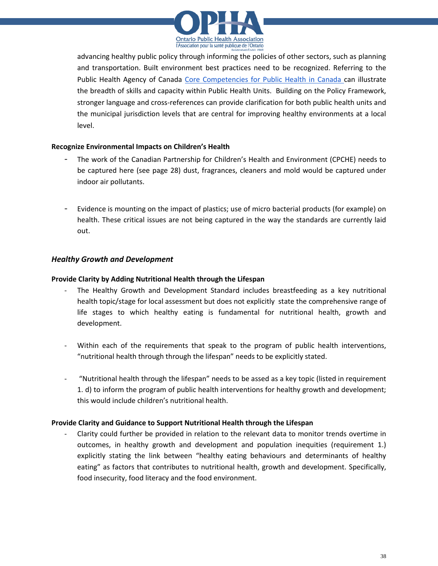

advancing healthy public policy through informing the policies of other sectors, such as planning and transportation. Built environment best practices need to be recognized. Referring to the Public Health Agency of Canada [Core Competencies for Public Health in Canada c](http://www.phac-aspc.gc.ca/php-psp/ccph-cesp/about_cc-apropos_ce-eng.php)an illustrate the breadth of skills and capacity within Public Health Units. Building on the Policy Framework, stronger language and cross-references can provide clarification for both public health units and the municipal jurisdiction levels that are central for improving healthy environments at a local level.

### **Recognize Environmental Impacts on Children's Health**

- The work of the Canadian Partnership for Children's Health and Environment (CPCHE) needs to be captured here (see page 28) dust, fragrances, cleaners and mold would be captured under indoor air pollutants.
- Evidence is mounting on the impact of plastics; use of micro bacterial products (for example) on health. These critical issues are not being captured in the way the standards are currently laid out.

## *Healthy Growth and Development*

### **Provide Clarity by Adding Nutritional Health through the Lifespan**

- The Healthy Growth and Development Standard includes breastfeeding as a key nutritional health topic/stage for local assessment but does not explicitly state the comprehensive range of life stages to which healthy eating is fundamental for nutritional health, growth and development.
- Within each of the requirements that speak to the program of public health interventions, "nutritional health through through the lifespan" needs to be explicitly stated.
- "Nutritional health through the lifespan" needs to be assed as a key topic (listed in requirement 1. d) to inform the program of public health interventions for healthy growth and development; this would include children's nutritional health.

#### **Provide Clarity and Guidance to Support Nutritional Health through the Lifespan**

- Clarity could further be provided in relation to the relevant data to monitor trends overtime in outcomes, in healthy growth and development and population inequities (requirement 1.) explicitly stating the link between "healthy eating behaviours and determinants of healthy eating" as factors that contributes to nutritional health, growth and development. Specifically, food insecurity, food literacy and the food environment.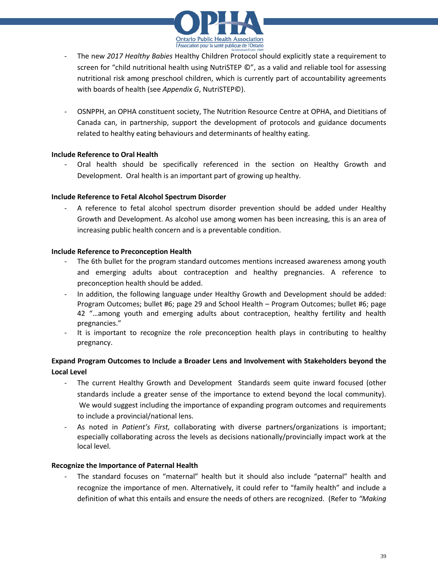

- The new *2017 Healthy Babies* Healthy Children Protocol should explicitly state a requirement to screen for "child nutritional health using NutriSTEP ©", as a valid and reliable tool for assessing nutritional risk among preschool children, which is currently part of accountability agreements with boards of health (see *Appendix G*, NutriSTEP©).
- OSNPPH, an OPHA constituent society, The Nutrition Resource Centre at OPHA, and Dietitians of Canada can, in partnership, support the development of protocols and guidance documents related to healthy eating behaviours and determinants of healthy eating.

#### **Include Reference to Oral Health**

Oral health should be specifically referenced in the section on Healthy Growth and Development. Oral health is an important part of growing up healthy.

#### **Include Reference to Fetal Alcohol Spectrum Disorder**

A reference to fetal alcohol spectrum disorder prevention should be added under Healthy Growth and Development. As alcohol use among women has been increasing, this is an area of increasing public health concern and is a preventable condition.

#### **Include Reference to Preconception Health**

- The 6th bullet for the program standard outcomes mentions increased awareness among youth and emerging adults about contraception and healthy pregnancies. A reference to preconception health should be added.
- In addition, the following language under Healthy Growth and Development should be added: Program Outcomes; bullet #6; page 29 and School Health – Program Outcomes; bullet #6; page 42 "…among youth and emerging adults about contraception, healthy fertility and health pregnancies."
- It is important to recognize the role preconception health plays in contributing to healthy pregnancy.

## **Expand Program Outcomes to Include a Broader Lens and Involvement with Stakeholders beyond the Local Level**

- The current Healthy Growth and Development Standards seem quite inward focused (other standards include a greater sense of the importance to extend beyond the local community). We would suggest including the importance of expanding program outcomes and requirements to include a provincial/national lens.
- As noted in *Patient's First,* collaborating with diverse partners/organizations is important; especially collaborating across the levels as decisions nationally/provincially impact work at the local level.

#### **Recognize the Importance of Paternal Health**

The standard focuses on "maternal" health but it should also include "paternal" health and recognize the importance of men. Alternatively, it could refer to "family health" and include a definition of what this entails and ensure the needs of others are recognized. (Refer to *"Making*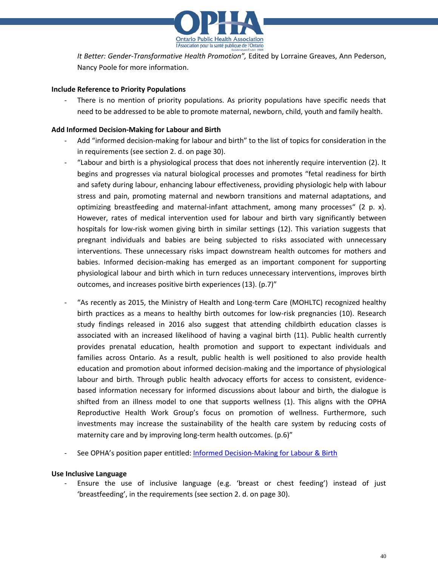

*It Better: Gender-Transformative Health Promotion",* Edited by Lorraine Greaves, Ann Pederson, Nancy Poole for more information.

#### **Include Reference to Priority Populations**

There is no mention of priority populations. As priority populations have specific needs that need to be addressed to be able to promote maternal, newborn, child, youth and family health.

#### **Add Informed Decision-Making for Labour and Birth**

- Add "informed decision-making for labour and birth" to the list of topics for consideration in the in requirements (see section 2. d. on page 30).
- "Labour and birth is a physiological process that does not inherently require intervention (2). It begins and progresses via natural biological processes and promotes "fetal readiness for birth and safety during labour, enhancing labour effectiveness, providing physiologic help with labour stress and pain, promoting maternal and newborn transitions and maternal adaptations, and optimizing breastfeeding and maternal-infant attachment, among many processes" (2 p. x). However, rates of medical intervention used for labour and birth vary significantly between hospitals for low-risk women giving birth in similar settings (12). This variation suggests that pregnant individuals and babies are being subjected to risks associated with unnecessary interventions. These unnecessary risks impact downstream health outcomes for mothers and babies. Informed decision-making has emerged as an important component for supporting physiological labour and birth which in turn reduces unnecessary interventions, improves birth outcomes, and increases positive birth experiences (13). (p.7)"
- "As recently as 2015, the Ministry of Health and Long-term Care (MOHLTC) recognized healthy birth practices as a means to healthy birth outcomes for low-risk pregnancies (10). Research study findings released in 2016 also suggest that attending childbirth education classes is associated with an increased likelihood of having a vaginal birth (11). Public health currently provides prenatal education, health promotion and support to expectant individuals and families across Ontario. As a result, public health is well positioned to also provide health education and promotion about informed decision-making and the importance of physiological labour and birth. Through public health advocacy efforts for access to consistent, evidencebased information necessary for informed discussions about labour and birth, the dialogue is shifted from an illness model to one that supports wellness (1). This aligns with the OPHA Reproductive Health Work Group's focus on promotion of wellness. Furthermore, such investments may increase the sustainability of the health care system by reducing costs of maternity care and by improving long-term health outcomes. (p.6)"
- See OPHA's position paper entitled: [Informed Decision-Making for Labour & Birth](http://www.opha.on.ca/getmedia/7cb09f97-369d-41ea-b874-30a88b5cff87/Informed-Decision-Making-for-Labour-and-Birth-position-paper.pdf.aspx?ext=.pdf)

#### **Use Inclusive Language**

Ensure the use of inclusive language (e.g. 'breast or chest feeding') instead of just 'breastfeeding', in the requirements (see section 2. d. on page 30).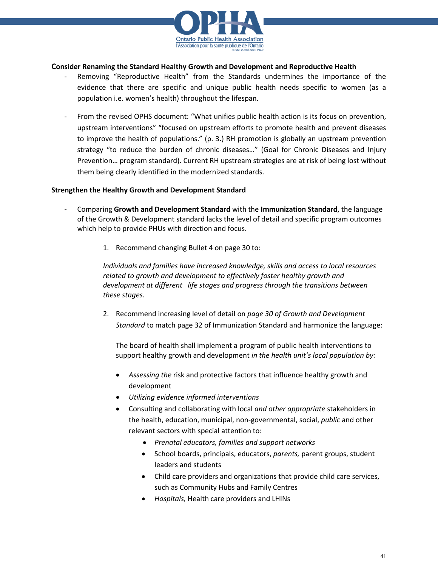

#### **Consider Renaming the Standard Healthy Growth and Development and Reproductive Health**

- Removing "Reproductive Health" from the Standards undermines the importance of the evidence that there are specific and unique public health needs specific to women (as a population i.e. women's health) throughout the lifespan.
- From the revised OPHS document: "What unifies public health action is its focus on prevention, upstream interventions" "focused on upstream efforts to promote health and prevent diseases to improve the health of populations." (p. 3.) RH promotion is globally an upstream prevention strategy "to reduce the burden of chronic diseases…" (Goal for Chronic Diseases and Injury Prevention… program standard). Current RH upstream strategies are at risk of being lost without them being clearly identified in the modernized standards.

#### **Strengthen the Healthy Growth and Development Standard**

- Comparing **Growth and Development Standard** with the **Immunization Standard**, the language of the Growth & Development standard lacks the level of detail and specific program outcomes which help to provide PHUs with direction and focus.
	- 1. Recommend changing Bullet 4 on page 30 to:

*Individuals and families have increased knowledge, skills and access to local resources related to growth and development to effectively foster healthy growth and development at different life stages and progress through the transitions between these stages.* 

2. Recommend increasing level of detail on *page 30 of Growth and Development Standard* to match page 32 of Immunization Standard and harmonize the language:

The board of health shall implement a program of public health interventions to support healthy growth and development *in the health unit's local population by:*

- *Assessing the* risk and protective factors that influence healthy growth and development
- *Utilizing evidence informed interventions*
- Consulting and collaborating with local *and other appropriate* stakeholders in the health, education, municipal, non-governmental, social, *public* and other relevant sectors with special attention to:
	- *Prenatal educators, families and support networks*
	- School boards, principals, educators, *parents,* parent groups, student leaders and students
	- Child care providers and organizations that provide child care services, such as Community Hubs and Family Centres
	- *Hospitals,* Health care providers and LHINs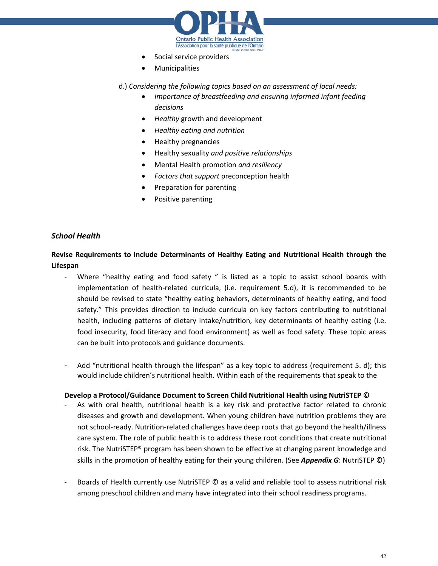

- Social service providers
- Municipalities
- d.) *Considering the following topics based on an assessment of local needs:*
	- *Importance of breastfeeding and ensuring informed infant feeding decisions*
	- *Healthy* growth and development
	- *Healthy eating and nutrition*
	- Healthy pregnancies
	- Healthy sexuality *and positive relationships*
	- Mental Health promotion *and resiliency*
	- *Factors that support* preconception health
	- Preparation for parenting
	- Positive parenting

## *School Health*

## **Revise Requirements to Include Determinants of Healthy Eating and Nutritional Health through the Lifespan**

- Where "healthy eating and food safety " is listed as a topic to assist school boards with implementation of health-related curricula, (i.e. requirement 5.d), it is recommended to be should be revised to state "healthy eating behaviors, determinants of healthy eating, and food safety." This provides direction to include curricula on key factors contributing to nutritional health, including patterns of dietary intake/nutrition, key determinants of healthy eating (i.e. food insecurity, food literacy and food environment) as well as food safety. These topic areas can be built into protocols and guidance documents.
- Add "nutritional health through the lifespan" as a key topic to address (requirement 5. d); this would include children's nutritional health. Within each of the requirements that speak to the

#### **Develop a Protocol/Guidance Document to Screen Child Nutritional Health using NutriSTEP ©**

- As with oral health, nutritional health is a key risk and protective factor related to chronic diseases and growth and development. When young children have nutrition problems they are not school-ready. Nutrition-related challenges have deep roots that go beyond the health/illness care system. The role of public health is to address these root conditions that create nutritional risk. The NutriSTEP® program has been shown to be effective at changing parent knowledge and skills in the promotion of healthy eating for their young children. (See *Appendix G*: NutriSTEP ©)
- Boards of Health currently use NutriSTEP © as a valid and reliable tool to assess nutritional risk among preschool children and many have integrated into their school readiness programs.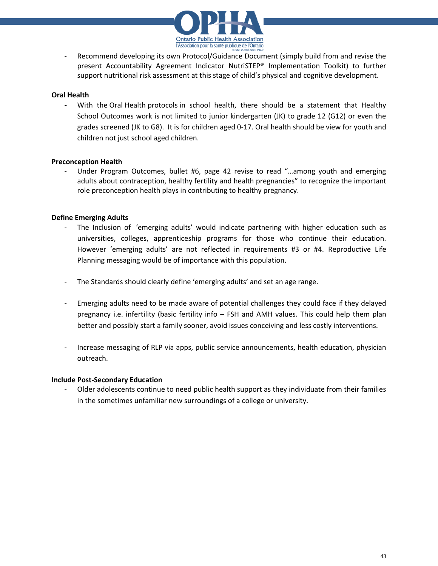

Recommend developing its own Protocol/Guidance Document (simply build from and revise the present Accountability Agreement Indicator NutriSTEP® Implementation Toolkit) to further support nutritional risk assessment at this stage of child's physical and cognitive development.

#### **Oral Health**

With the Oral Health protocols in school health, there should be a statement that Healthy School Outcomes work is not limited to junior kindergarten (JK) to grade 12 (G12) or even the grades screened (JK to G8). It is for children aged 0-17. Oral health should be view for youth and children not just school aged children.

#### **Preconception Health**

Under Program Outcomes, bullet #6, page 42 revise to read "...among youth and emerging adults about contraception, healthy fertility and health pregnancies" to recognize the important role preconception health plays in contributing to healthy pregnancy.

#### **Define Emerging Adults**

- The Inclusion of 'emerging adults' would indicate partnering with higher education such as universities, colleges, apprenticeship programs for those who continue their education. However 'emerging adults' are not reflected in requirements #3 or #4. Reproductive Life Planning messaging would be of importance with this population.
- The Standards should clearly define 'emerging adults' and set an age range.
- Emerging adults need to be made aware of potential challenges they could face if they delayed pregnancy i.e. infertility (basic fertility info – FSH and AMH values. This could help them plan better and possibly start a family sooner, avoid issues conceiving and less costly interventions.
- Increase messaging of RLP via apps, public service announcements, health education, physician outreach.

#### **Include Post-Secondary Education**

Older adolescents continue to need public health support as they individuate from their families in the sometimes unfamiliar new surroundings of a college or university.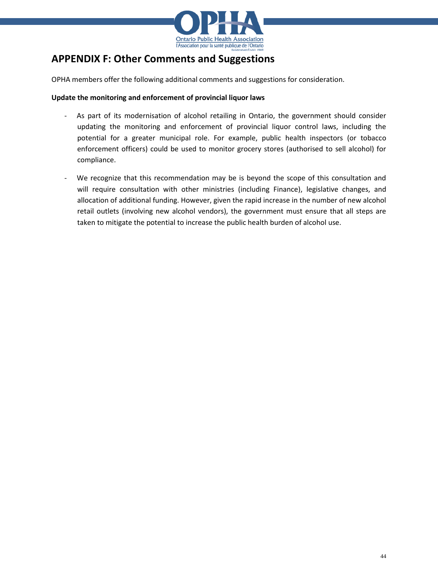

## **APPENDIX F: Other Comments and Suggestions**

OPHA members offer the following additional comments and suggestions for consideration.

#### **Update the monitoring and enforcement of provincial liquor laws**

- As part of its modernisation of alcohol retailing in Ontario, the government should consider updating the monitoring and enforcement of provincial liquor control laws, including the potential for a greater municipal role. For example, public health inspectors (or tobacco enforcement officers) could be used to monitor grocery stores (authorised to sell alcohol) for compliance.
- We recognize that this recommendation may be is beyond the scope of this consultation and will require consultation with other ministries (including Finance), legislative changes, and allocation of additional funding. However, given the rapid increase in the number of new alcohol retail outlets (involving new alcohol vendors), the government must ensure that all steps are taken to mitigate the potential to increase the public health burden of alcohol use.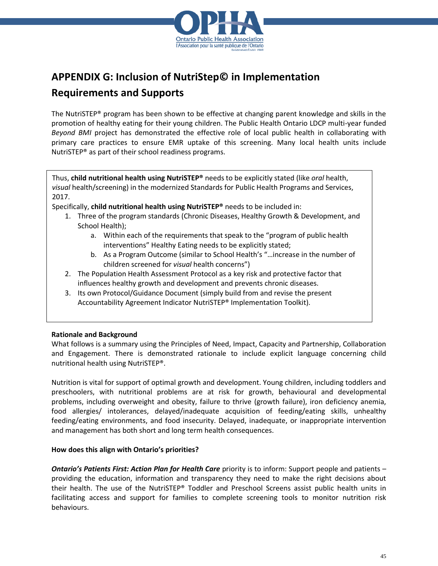

## **APPENDIX G: Inclusion of NutriStep© in Implementation**

## **Requirements and Supports**

The NutriSTEP® program has been shown to be effective at changing parent knowledge and skills in the promotion of healthy eating for their young children. The Public Health Ontario LDCP multi-year funded *Beyond BMI* project has demonstrated the effective role of local public health in collaborating with primary care practices to ensure EMR uptake of this screening. Many local health units include NutriSTEP® as part of their school readiness programs.

Thus, **child nutritional health using NutriSTEP®** needs to be explicitly stated (like *oral* health, *visual* health/screening) in the modernized Standards for Public Health Programs and Services, 2017.

Specifically, **child nutritional health using NutriSTEP®** needs to be included in:

- 1. Three of the program standards (Chronic Diseases, Healthy Growth & Development, and School Health);
	- a. Within each of the requirements that speak to the "program of public health interventions" Healthy Eating needs to be explicitly stated;
	- b. As a Program Outcome (similar to School Health's "…increase in the number of children screened for *visual* health concerns")
- 2. The Population Health Assessment Protocol as a key risk and protective factor that influences healthy growth and development and prevents chronic diseases.
- 3. Its own Protocol/Guidance Document (simply build from and revise the present Accountability Agreement Indicator NutriSTEP® Implementation Toolkit).

## **Rationale and Background**

What follows is a summary using the Principles of Need, Impact, Capacity and Partnership, Collaboration and Engagement. There is demonstrated rationale to include explicit language concerning child nutritional health using NutriSTEP®.

Nutrition is vital for support of optimal growth and development. Young children, including toddlers and preschoolers, with nutritional problems are at risk for growth, behavioural and developmental problems, including overweight and obesity, failure to thrive (growth failure), iron deficiency anemia, food allergies/ intolerances, delayed/inadequate acquisition of feeding/eating skills, unhealthy feeding/eating environments, and food insecurity. Delayed, inadequate, or inappropriate intervention and management has both short and long term health consequences.

## **How does this align with Ontario's priorities?**

*Ontario's Patients First: Action Plan for Health Care* priority is to inform: Support people and patients – providing the education, information and transparency they need to make the right decisions about their health. The use of the NutriSTEP® Toddler and Preschool Screens assist public health units in facilitating access and support for families to complete screening tools to monitor nutrition risk behaviours.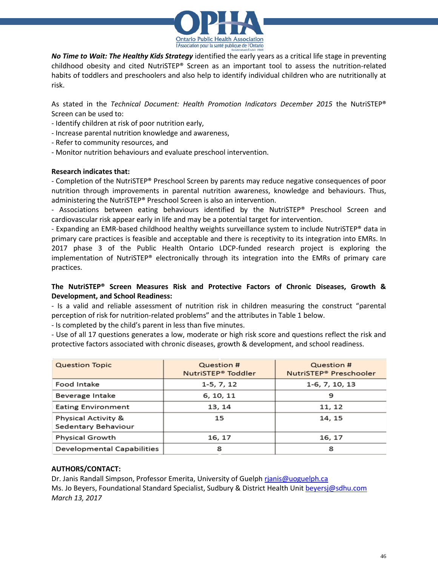

*No Time to Wait: The Healthy Kids Strategy* identified the early years as a critical life stage in preventing childhood obesity and cited NutriSTEP® Screen as an important tool to assess the nutrition-related habits of toddlers and preschoolers and also help to identify individual children who are nutritionally at risk.

As stated in the *Technical Document: Health Promotion Indicators December 2015* the NutriSTEP® Screen can be used to:

- Identify children at risk of poor nutrition early,
- Increase parental nutrition knowledge and awareness,
- Refer to community resources, and
- Monitor nutrition behaviours and evaluate preschool intervention.

### **Research indicates that:**

- Completion of the NutriSTEP® Preschool Screen by parents may reduce negative consequences of poor nutrition through improvements in parental nutrition awareness, knowledge and behaviours. Thus, administering the NutriSTEP® Preschool Screen is also an intervention.

- Associations between eating behaviours identified by the NutriSTEP® Preschool Screen and cardiovascular risk appear early in life and may be a potential target for intervention.

- Expanding an EMR‐based childhood healthy weights surveillance system to include NutriSTEP® data in primary care practices is feasible and acceptable and there is receptivity to its integration into EMRs. In 2017 phase 3 of the Public Health Ontario LDCP-funded research project is exploring the implementation of NutriSTEP® electronically through its integration into the EMRs of primary care practices.

### **The NutriSTEP® Screen Measures Risk and Protective Factors of Chronic Diseases, Growth & Development, and School Readiness:**

- Is a valid and reliable assessment of nutrition risk in children measuring the construct "parental perception of risk for nutrition-related problems" and the attributes in Table 1 below.

- Is completed by the child's parent in less than five minutes.

- Use of all 17 questions generates a low, moderate or high risk score and questions reflect the risk and protective factors associated with chronic diseases, growth & development, and school readiness.

| <b>Question Topic</b>                                 | Question #<br>NutriSTEP <sup>®</sup> Toddler | Question #<br>NutriSTEP <sup>®</sup> Preschooler |
|-------------------------------------------------------|----------------------------------------------|--------------------------------------------------|
| Food Intake                                           | $1-5, 7, 12$                                 | 1-6, 7, 10, 13                                   |
| Beverage Intake                                       | 6, 10, 11                                    | 9                                                |
| <b>Eating Environment</b>                             | 13, 14                                       | 11, 12                                           |
| <b>Physical Activity &amp;</b><br>Sedentary Behaviour | 15                                           | 14, 15                                           |
| <b>Physical Growth</b>                                | 16, 17                                       | 16, 17                                           |
| Developmental Capabilities                            | 8                                            | 8                                                |

## **AUTHORS/CONTACT:**

Dr. Janis Randall Simpson, Professor Emerita, University of Guelp[h rjanis@uoguelph.ca](mailto:rjanis@uoguelph.ca) Ms. Jo Beyers, Foundational Standard Specialist, Sudbury & District Health Unit [beyersj@sdhu.com](mailto:beyersj@sdhu.com) *March 13, 2017*